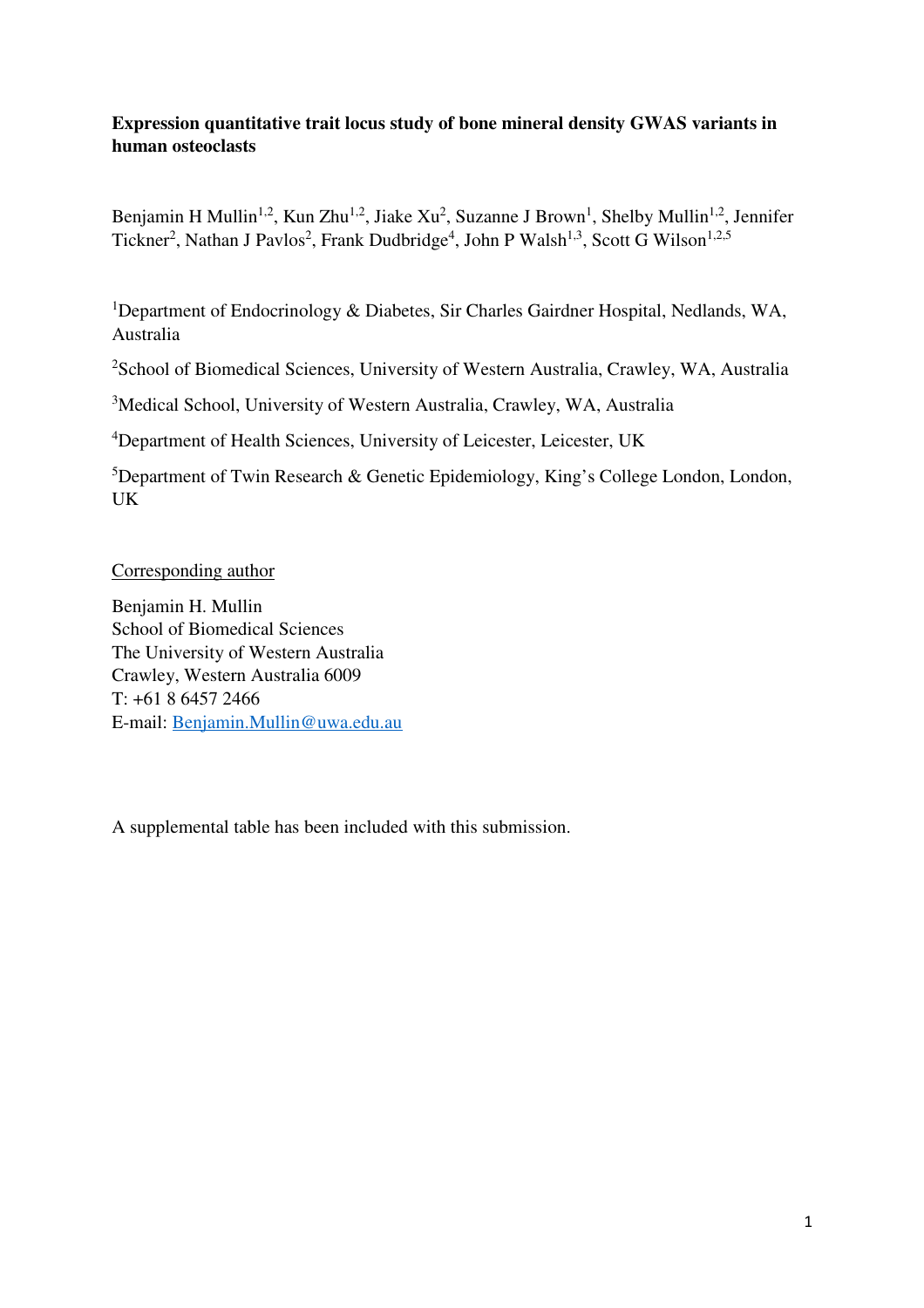## **Expression quantitative trait locus study of bone mineral density GWAS variants in human osteoclasts**

Benjamin H Mullin<sup>1,2</sup>, Kun Zhu<sup>1,2</sup>, Jiake Xu<sup>2</sup>, Suzanne J Brown<sup>1</sup>, Shelby Mullin<sup>1,2</sup>, Jennifer Tickner<sup>2</sup>, Nathan J Pavlos<sup>2</sup>, Frank Dudbridge<sup>4</sup>, John P Walsh<sup>1,3</sup>, Scott G Wilson<sup>1,2,5</sup>

<sup>1</sup>Department of Endocrinology & Diabetes, Sir Charles Gairdner Hospital, Nedlands, WA, Australia

<sup>2</sup>School of Biomedical Sciences, University of Western Australia, Crawley, WA, Australia

<sup>3</sup>Medical School, University of Western Australia, Crawley, WA, Australia

<sup>4</sup>Department of Health Sciences, University of Leicester, Leicester, UK

<sup>5</sup>Department of Twin Research & Genetic Epidemiology, King's College London, London, UK

Corresponding author

Benjamin H. Mullin School of Biomedical Sciences The University of Western Australia Crawley, Western Australia 6009 T: +61 8 6457 2466 E-mail: Benjamin.Mullin@uwa.edu.au

A supplemental table has been included with this submission.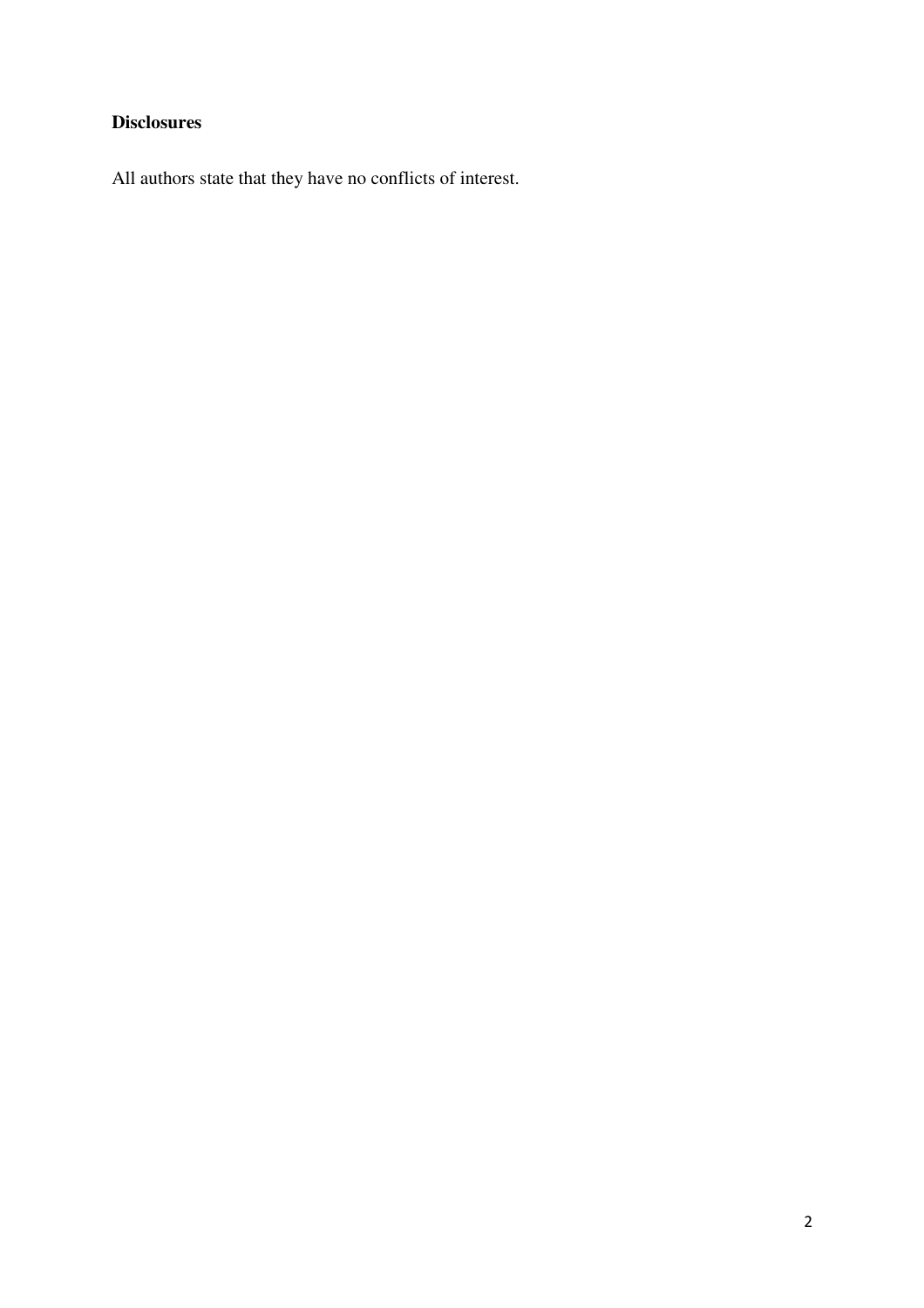# **Disclosures**

All authors state that they have no conflicts of interest.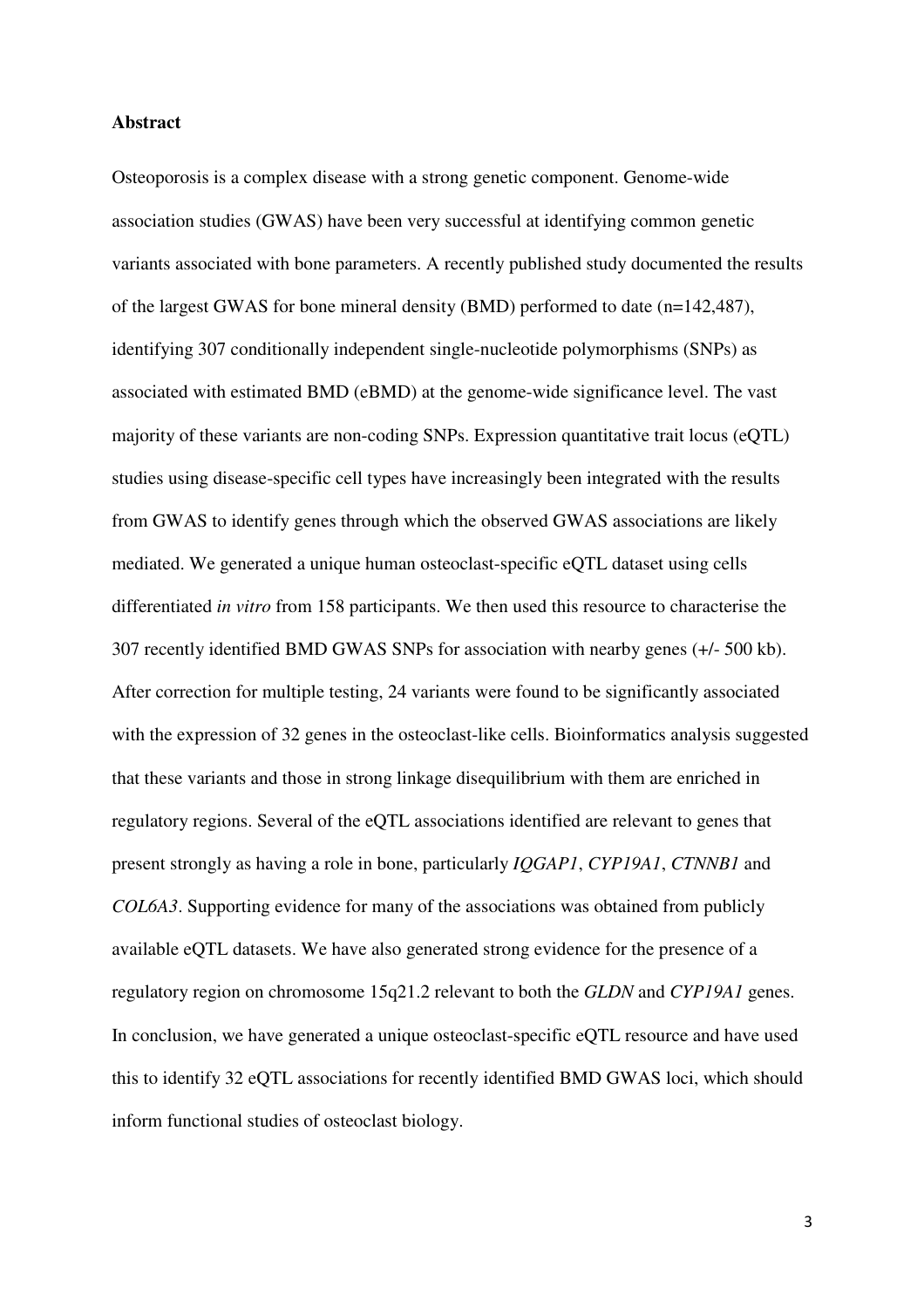### **Abstract**

Osteoporosis is a complex disease with a strong genetic component. Genome-wide association studies (GWAS) have been very successful at identifying common genetic variants associated with bone parameters. A recently published study documented the results of the largest GWAS for bone mineral density (BMD) performed to date (n=142,487), identifying 307 conditionally independent single-nucleotide polymorphisms (SNPs) as associated with estimated BMD (eBMD) at the genome-wide significance level. The vast majority of these variants are non-coding SNPs. Expression quantitative trait locus (eQTL) studies using disease-specific cell types have increasingly been integrated with the results from GWAS to identify genes through which the observed GWAS associations are likely mediated. We generated a unique human osteoclast-specific eQTL dataset using cells differentiated *in vitro* from 158 participants. We then used this resource to characterise the 307 recently identified BMD GWAS SNPs for association with nearby genes (+/- 500 kb). After correction for multiple testing, 24 variants were found to be significantly associated with the expression of 32 genes in the osteoclast-like cells. Bioinformatics analysis suggested that these variants and those in strong linkage disequilibrium with them are enriched in regulatory regions. Several of the eQTL associations identified are relevant to genes that present strongly as having a role in bone, particularly *IQGAP1*, *CYP19A1*, *CTNNB1* and *COL6A3*. Supporting evidence for many of the associations was obtained from publicly available eQTL datasets. We have also generated strong evidence for the presence of a regulatory region on chromosome 15q21.2 relevant to both the *GLDN* and *CYP19A1* genes. In conclusion, we have generated a unique osteoclast-specific eQTL resource and have used this to identify 32 eQTL associations for recently identified BMD GWAS loci, which should inform functional studies of osteoclast biology.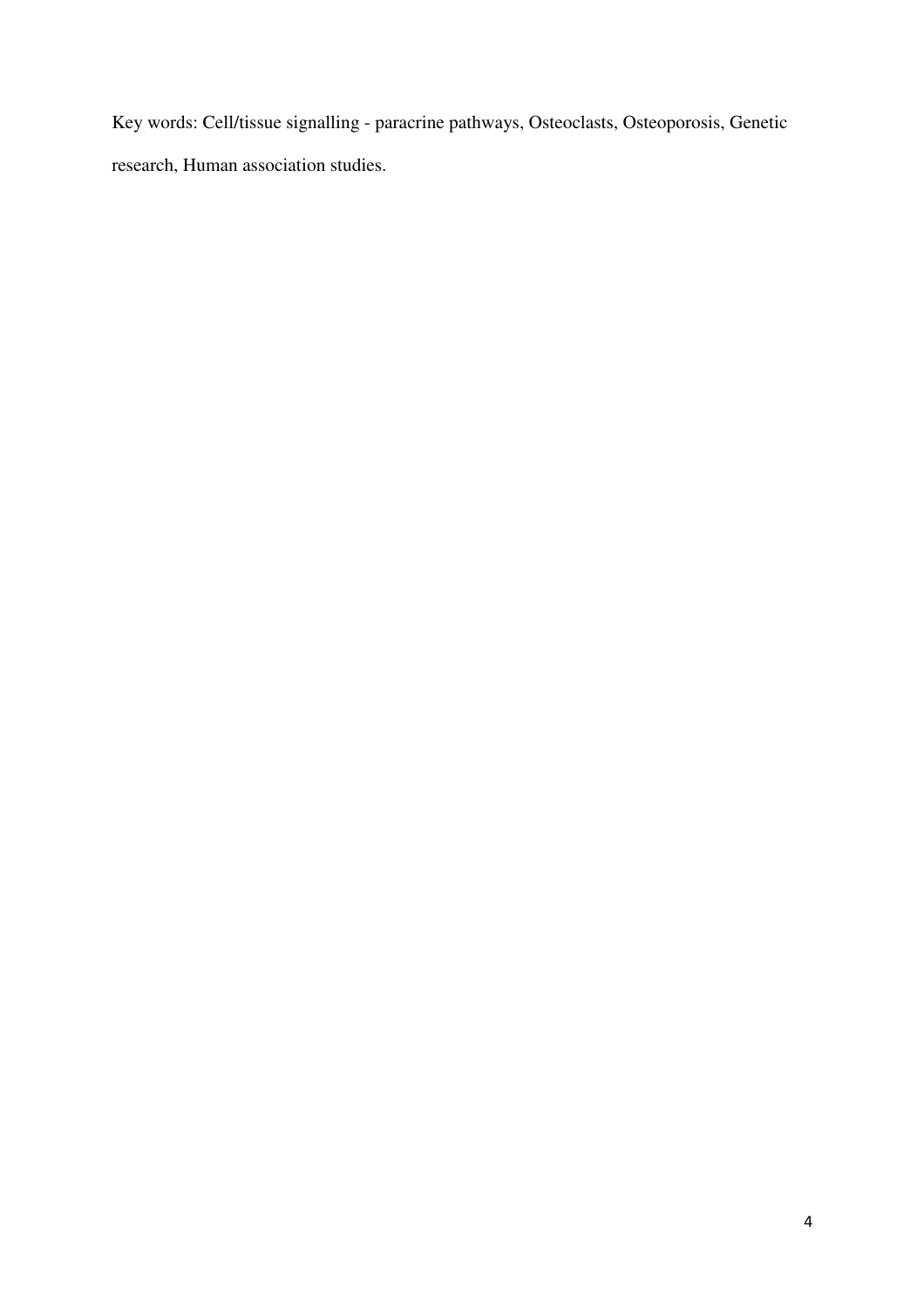Key words: Cell/tissue signalling - paracrine pathways, Osteoclasts, Osteoporosis, Genetic research, Human association studies.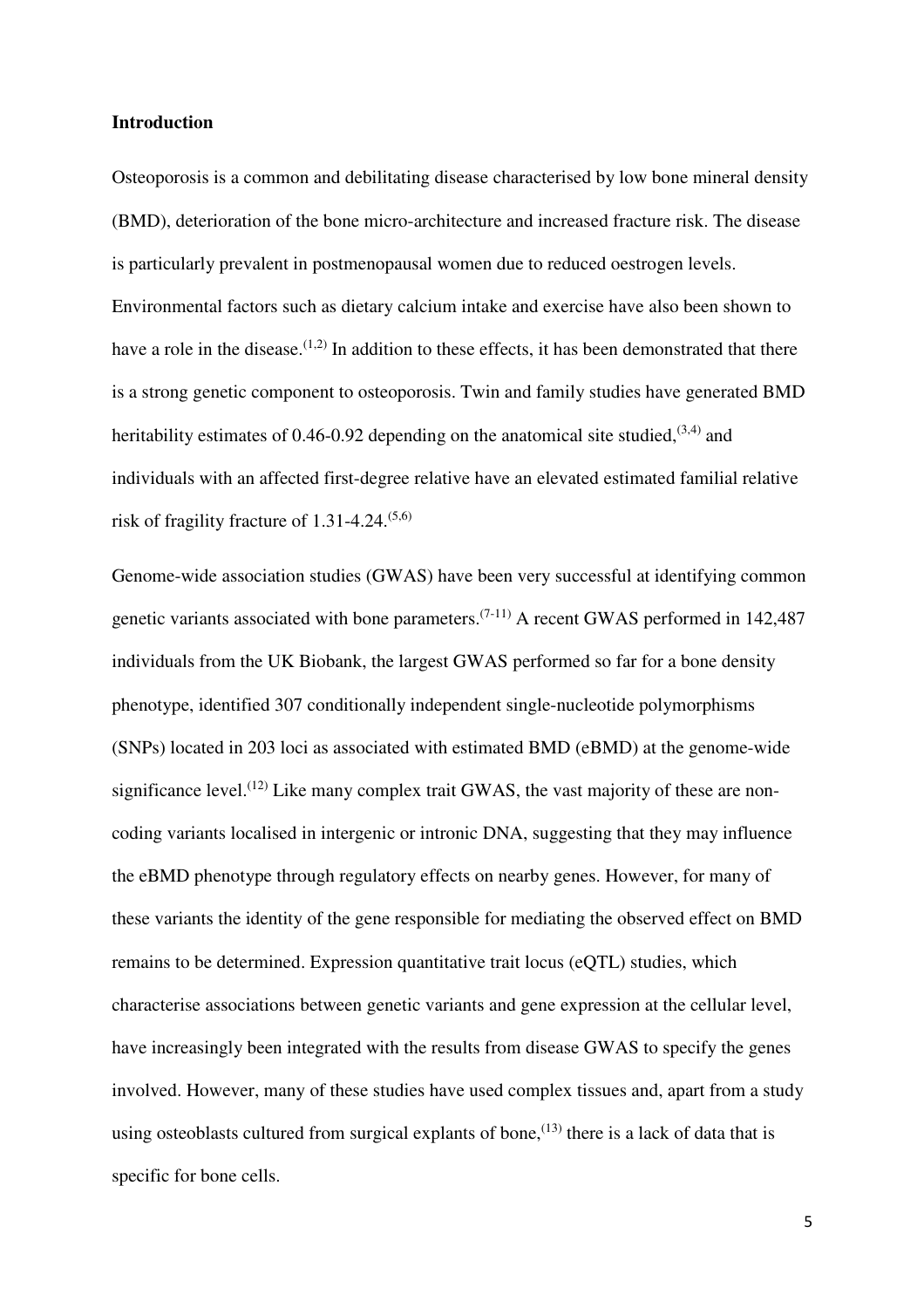### **Introduction**

Osteoporosis is a common and debilitating disease characterised by low bone mineral density (BMD), deterioration of the bone micro-architecture and increased fracture risk. The disease is particularly prevalent in postmenopausal women due to reduced oestrogen levels. Environmental factors such as dietary calcium intake and exercise have also been shown to have a role in the disease.<sup> $(1,2)$ </sup> In addition to these effects, it has been demonstrated that there is a strong genetic component to osteoporosis. Twin and family studies have generated BMD heritability estimates of 0.46-0.92 depending on the anatomical site studied,  $(3,4)$  and individuals with an affected first-degree relative have an elevated estimated familial relative risk of fragility fracture of  $1.31$ -4.24.<sup> $(5.6)$ </sup>

Genome-wide association studies (GWAS) have been very successful at identifying common genetic variants associated with bone parameters.<sup> $(7-11)$ </sup> A recent GWAS performed in 142,487 individuals from the UK Biobank, the largest GWAS performed so far for a bone density phenotype, identified 307 conditionally independent single-nucleotide polymorphisms (SNPs) located in 203 loci as associated with estimated BMD (eBMD) at the genome-wide significance level.<sup> $(12)$ </sup> Like many complex trait GWAS, the vast majority of these are noncoding variants localised in intergenic or intronic DNA, suggesting that they may influence the eBMD phenotype through regulatory effects on nearby genes. However, for many of these variants the identity of the gene responsible for mediating the observed effect on BMD remains to be determined. Expression quantitative trait locus (eQTL) studies, which characterise associations between genetic variants and gene expression at the cellular level, have increasingly been integrated with the results from disease GWAS to specify the genes involved. However, many of these studies have used complex tissues and, apart from a study using osteoblasts cultured from surgical explants of bone,<sup> $(13)$ </sup> there is a lack of data that is specific for bone cells.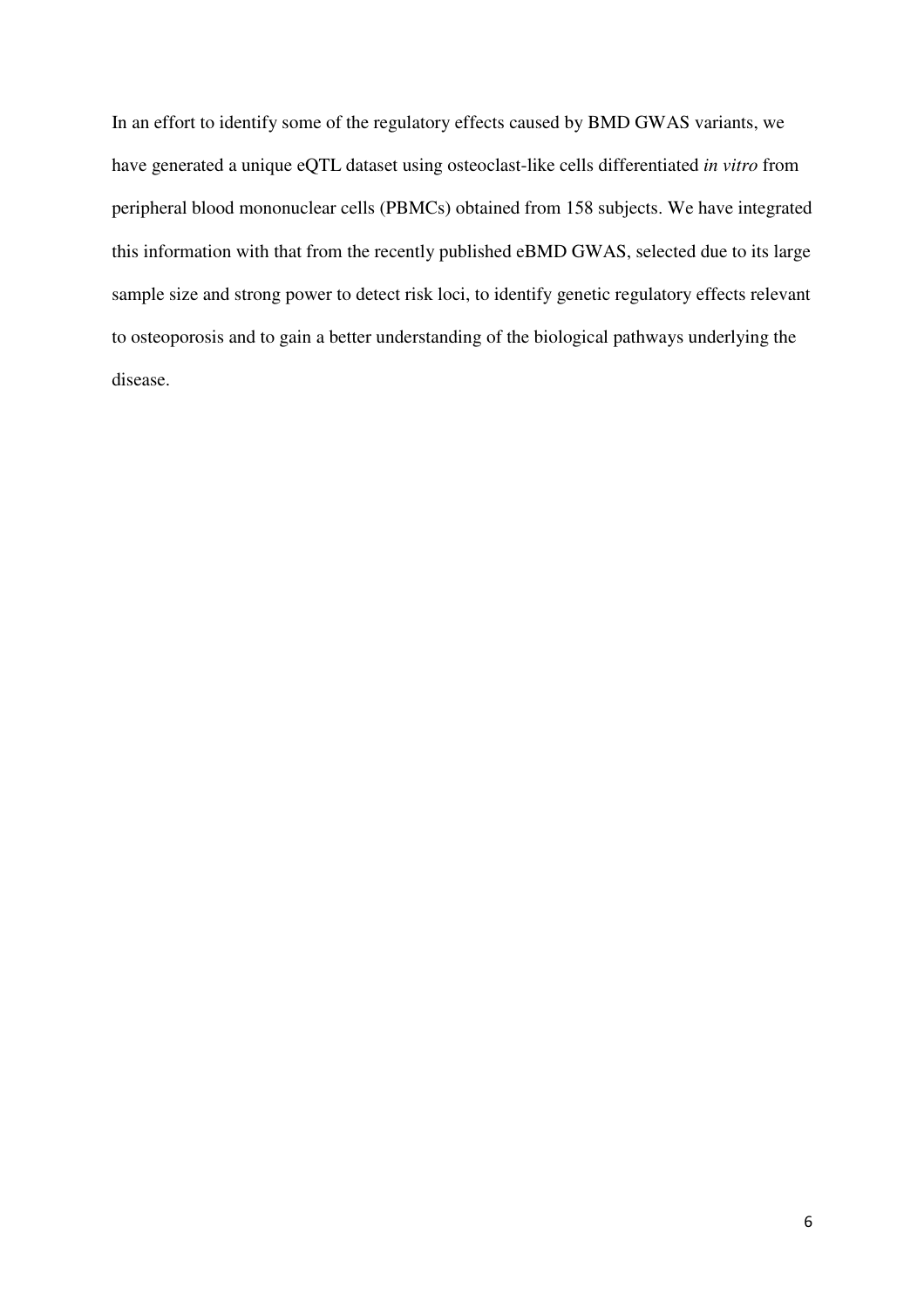In an effort to identify some of the regulatory effects caused by BMD GWAS variants, we have generated a unique eQTL dataset using osteoclast-like cells differentiated *in vitro* from peripheral blood mononuclear cells (PBMCs) obtained from 158 subjects. We have integrated this information with that from the recently published eBMD GWAS, selected due to its large sample size and strong power to detect risk loci, to identify genetic regulatory effects relevant to osteoporosis and to gain a better understanding of the biological pathways underlying the disease.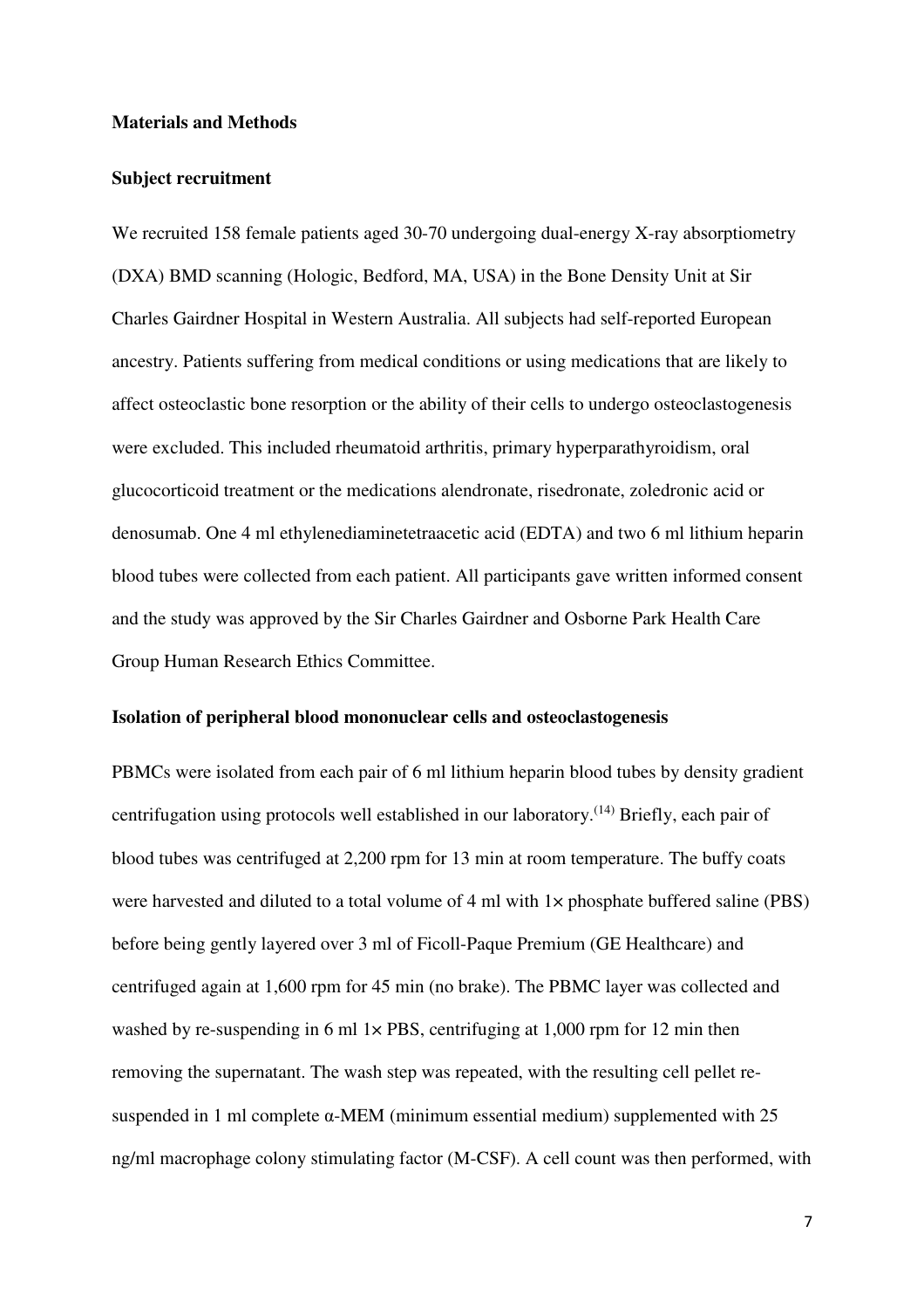### **Materials and Methods**

### **Subject recruitment**

We recruited 158 female patients aged 30-70 undergoing dual-energy X-ray absorptiometry (DXA) BMD scanning (Hologic, Bedford, MA, USA) in the Bone Density Unit at Sir Charles Gairdner Hospital in Western Australia. All subjects had self-reported European ancestry. Patients suffering from medical conditions or using medications that are likely to affect osteoclastic bone resorption or the ability of their cells to undergo osteoclastogenesis were excluded. This included rheumatoid arthritis, primary hyperparathyroidism, oral glucocorticoid treatment or the medications alendronate, risedronate, zoledronic acid or denosumab. One 4 ml ethylenediaminetetraacetic acid (EDTA) and two 6 ml lithium heparin blood tubes were collected from each patient. All participants gave written informed consent and the study was approved by the Sir Charles Gairdner and Osborne Park Health Care Group Human Research Ethics Committee.

### **Isolation of peripheral blood mononuclear cells and osteoclastogenesis**

PBMCs were isolated from each pair of 6 ml lithium heparin blood tubes by density gradient centrifugation using protocols well established in our laboratory.(14) Briefly, each pair of blood tubes was centrifuged at 2,200 rpm for 13 min at room temperature. The buffy coats were harvested and diluted to a total volume of 4 ml with  $1 \times$  phosphate buffered saline (PBS) before being gently layered over 3 ml of Ficoll-Paque Premium (GE Healthcare) and centrifuged again at 1,600 rpm for 45 min (no brake). The PBMC layer was collected and washed by re-suspending in 6 ml  $1\times$  PBS, centrifuging at 1,000 rpm for 12 min then removing the supernatant. The wash step was repeated, with the resulting cell pellet resuspended in 1 ml complete  $\alpha$ -MEM (minimum essential medium) supplemented with 25 ng/ml macrophage colony stimulating factor (M-CSF). A cell count was then performed, with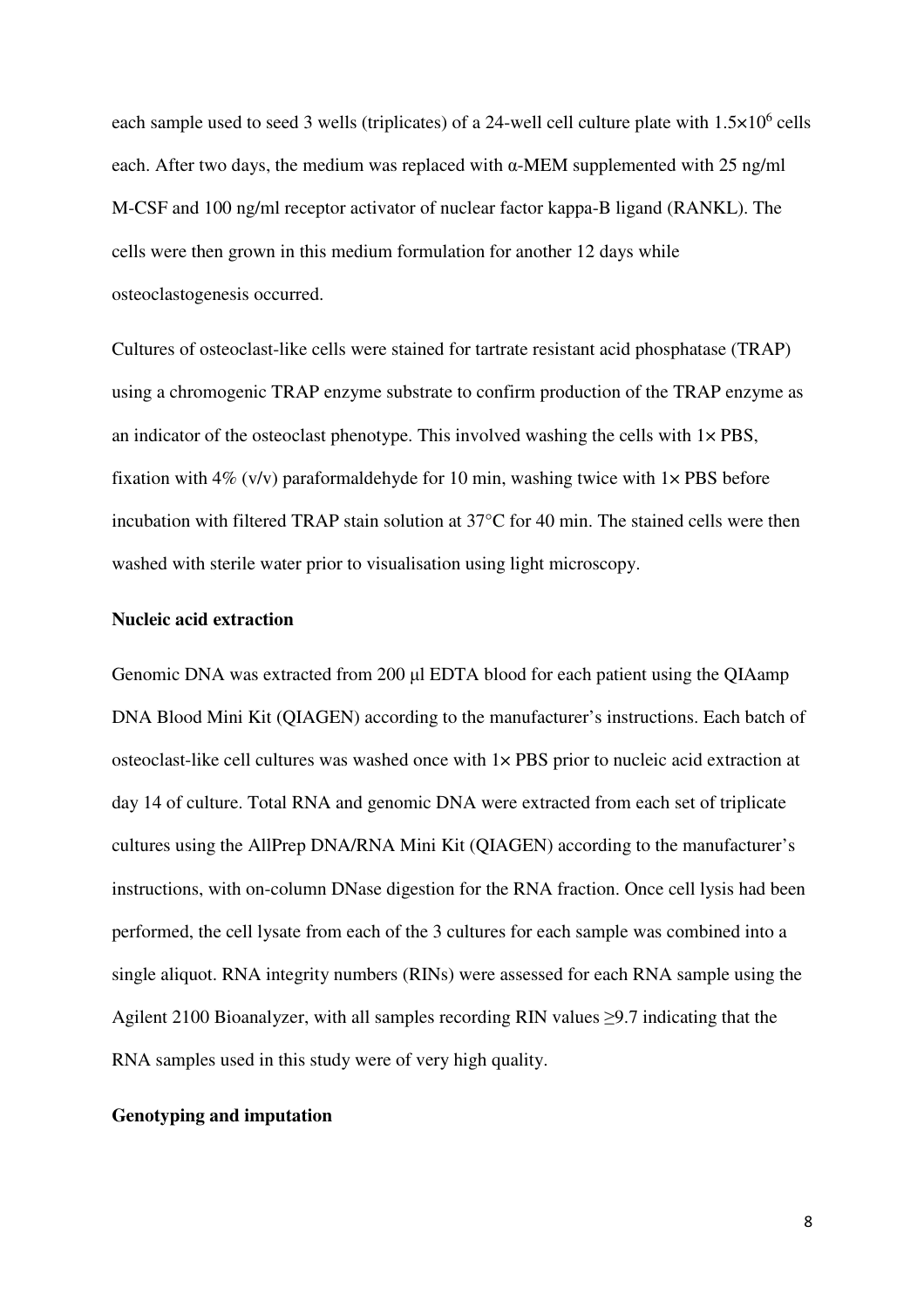each sample used to seed 3 wells (triplicates) of a 24-well cell culture plate with  $1.5 \times 10^6$  cells each. After two days, the medium was replaced with α-MEM supplemented with 25 ng/ml M-CSF and 100 ng/ml receptor activator of nuclear factor kappa-B ligand (RANKL). The cells were then grown in this medium formulation for another 12 days while osteoclastogenesis occurred.

Cultures of osteoclast-like cells were stained for tartrate resistant acid phosphatase (TRAP) using a chromogenic TRAP enzyme substrate to confirm production of the TRAP enzyme as an indicator of the osteoclast phenotype. This involved washing the cells with  $1 \times PBS$ , fixation with 4% (v/v) paraformaldehyde for 10 min, washing twice with  $1 \times PBS$  before incubation with filtered TRAP stain solution at 37°C for 40 min. The stained cells were then washed with sterile water prior to visualisation using light microscopy.

#### **Nucleic acid extraction**

Genomic DNA was extracted from 200 µl EDTA blood for each patient using the QIAamp DNA Blood Mini Kit (QIAGEN) according to the manufacturer's instructions. Each batch of osteoclast-like cell cultures was washed once with 1× PBS prior to nucleic acid extraction at day 14 of culture. Total RNA and genomic DNA were extracted from each set of triplicate cultures using the AllPrep DNA/RNA Mini Kit (QIAGEN) according to the manufacturer's instructions, with on-column DNase digestion for the RNA fraction. Once cell lysis had been performed, the cell lysate from each of the 3 cultures for each sample was combined into a single aliquot. RNA integrity numbers (RINs) were assessed for each RNA sample using the Agilent 2100 Bioanalyzer, with all samples recording RIN values  $\geq$ 9.7 indicating that the RNA samples used in this study were of very high quality.

### **Genotyping and imputation**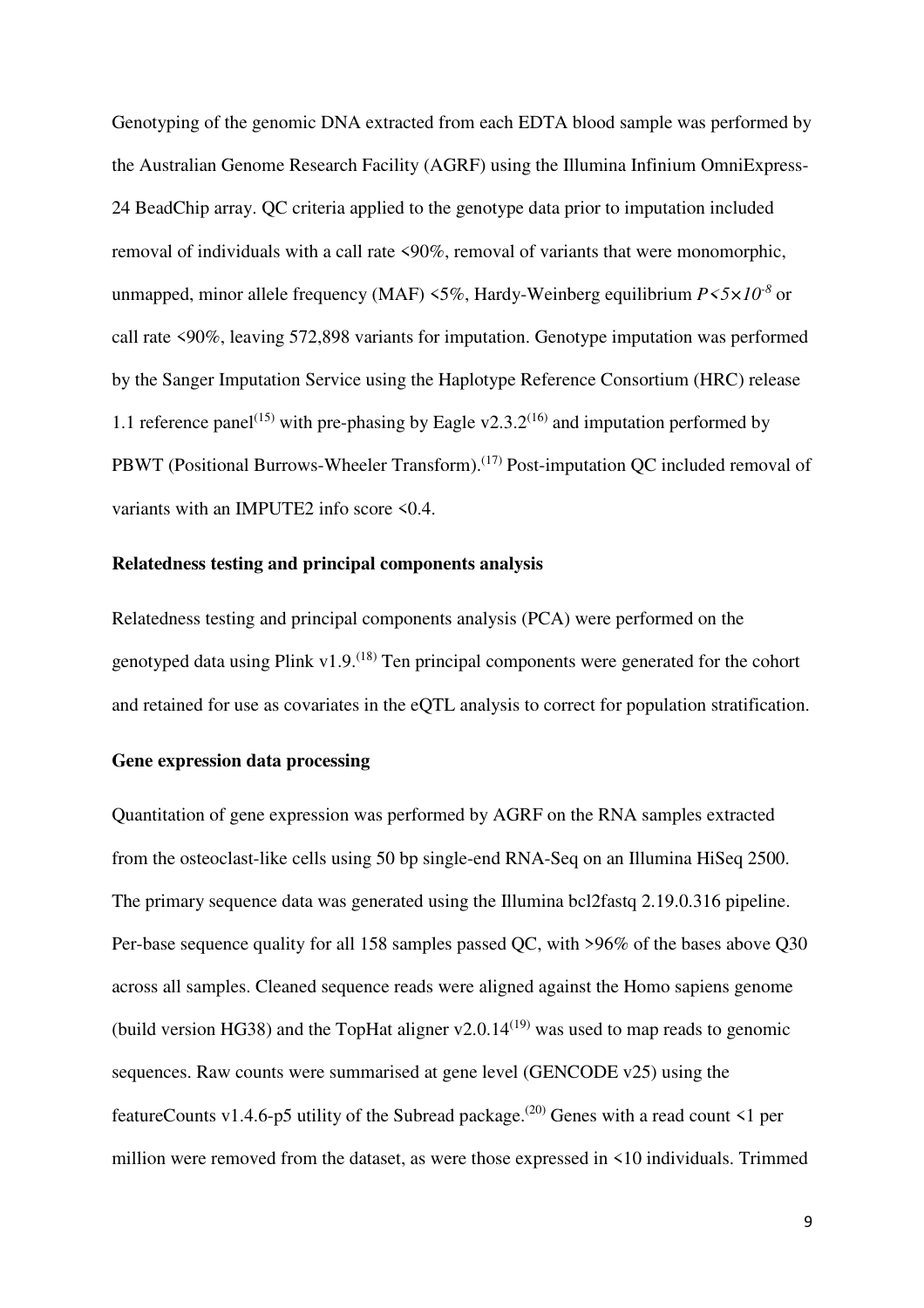Genotyping of the genomic DNA extracted from each EDTA blood sample was performed by the Australian Genome Research Facility (AGRF) using the Illumina Infinium OmniExpress-24 BeadChip array. QC criteria applied to the genotype data prior to imputation included removal of individuals with a call rate <90%, removal of variants that were monomorphic, unmapped, minor allele frequency (MAF) <5%, Hardy-Weinberg equilibrium *P<5×10-8* or call rate <90%, leaving 572,898 variants for imputation. Genotype imputation was performed by the Sanger Imputation Service using the Haplotype Reference Consortium (HRC) release 1.1 reference panel<sup>(15)</sup> with pre-phasing by Eagle v2.3.2<sup>(16)</sup> and imputation performed by PBWT (Positional Burrows-Wheeler Transform).<sup>(17)</sup> Post-imputation QC included removal of variants with an IMPUTE2 info score <0.4.

### **Relatedness testing and principal components analysis**

Relatedness testing and principal components analysis (PCA) were performed on the genotyped data using Plink v1.9.<sup> $(18)$ </sup> Ten principal components were generated for the cohort and retained for use as covariates in the eQTL analysis to correct for population stratification.

### **Gene expression data processing**

Quantitation of gene expression was performed by AGRF on the RNA samples extracted from the osteoclast-like cells using 50 bp single-end RNA-Seq on an Illumina HiSeq 2500. The primary sequence data was generated using the Illumina bcl2fastq 2.19.0.316 pipeline. Per-base sequence quality for all 158 samples passed QC, with >96% of the bases above Q30 across all samples. Cleaned sequence reads were aligned against the Homo sapiens genome (build version HG38) and the TopHat aligner  $v2.0.14^{(19)}$  was used to map reads to genomic sequences. Raw counts were summarised at gene level (GENCODE v25) using the featureCounts v1.4.6-p5 utility of the Subread package.<sup>(20)</sup> Genes with a read count  $\leq 1$  per million were removed from the dataset, as were those expressed in <10 individuals. Trimmed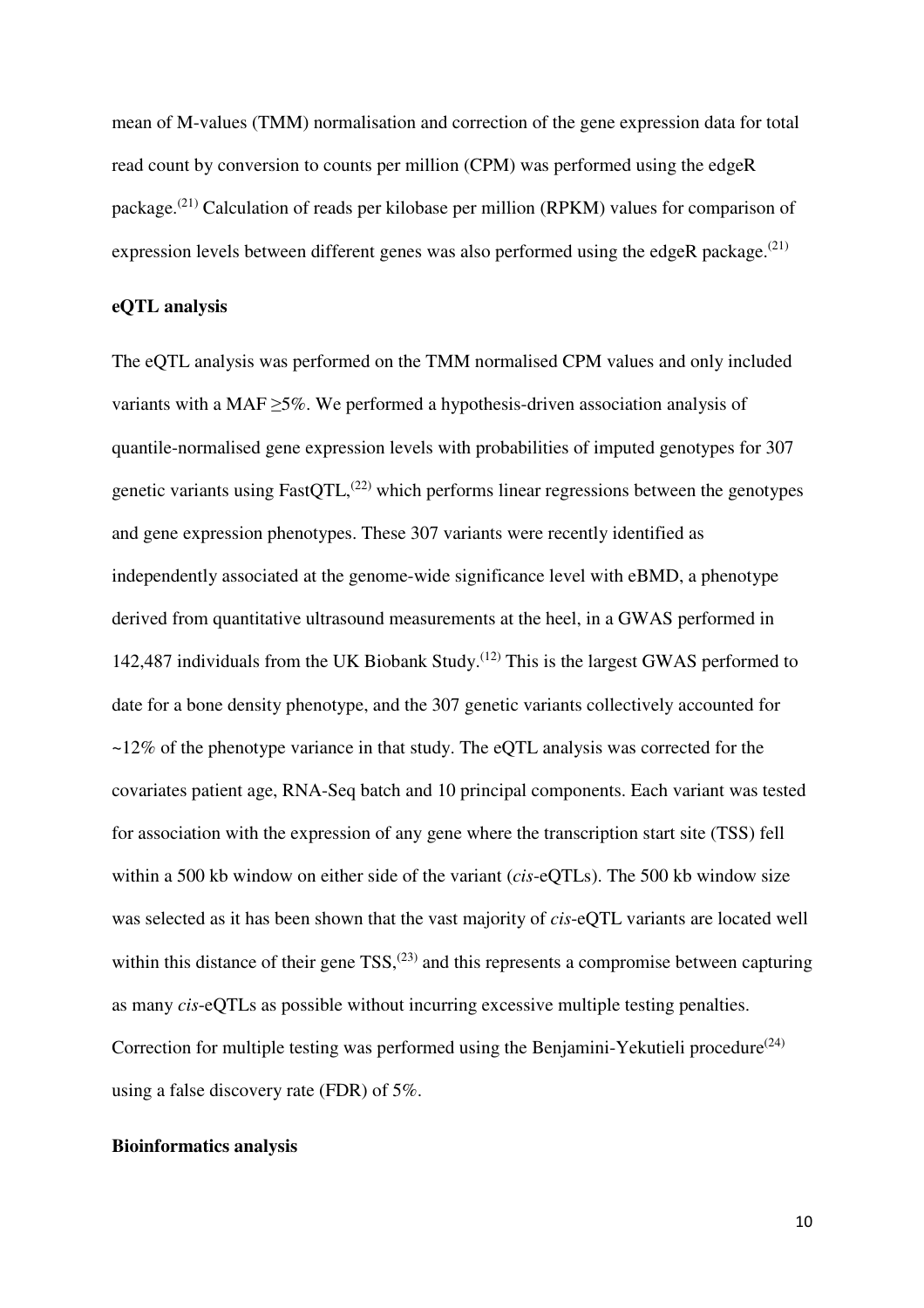mean of M-values (TMM) normalisation and correction of the gene expression data for total read count by conversion to counts per million (CPM) was performed using the edgeR package.(21) Calculation of reads per kilobase per million (RPKM) values for comparison of expression levels between different genes was also performed using the edgeR package.<sup> $(21)$ </sup>

### **eQTL analysis**

The eQTL analysis was performed on the TMM normalised CPM values and only included variants with a MAF $\geq$ 5%. We performed a hypothesis-driven association analysis of quantile-normalised gene expression levels with probabilities of imputed genotypes for 307 genetic variants using FastQTL, $^{(22)}$  which performs linear regressions between the genotypes and gene expression phenotypes. These 307 variants were recently identified as independently associated at the genome-wide significance level with eBMD, a phenotype derived from quantitative ultrasound measurements at the heel, in a GWAS performed in 142,487 individuals from the UK Biobank Study.<sup> $(12)$ </sup> This is the largest GWAS performed to date for a bone density phenotype, and the 307 genetic variants collectively accounted for ~12% of the phenotype variance in that study. The eQTL analysis was corrected for the covariates patient age, RNA-Seq batch and 10 principal components. Each variant was tested for association with the expression of any gene where the transcription start site (TSS) fell within a 500 kb window on either side of the variant (*cis*-eQTLs). The 500 kb window size was selected as it has been shown that the vast majority of *cis*-eQTL variants are located well within this distance of their gene  $TSS<sub>1</sub><sup>(23)</sup>$  and this represents a compromise between capturing as many *cis*-eQTLs as possible without incurring excessive multiple testing penalties. Correction for multiple testing was performed using the Benjamini-Yekutieli procedure<sup> $(24)$ </sup> using a false discovery rate (FDR) of 5%.

### **Bioinformatics analysis**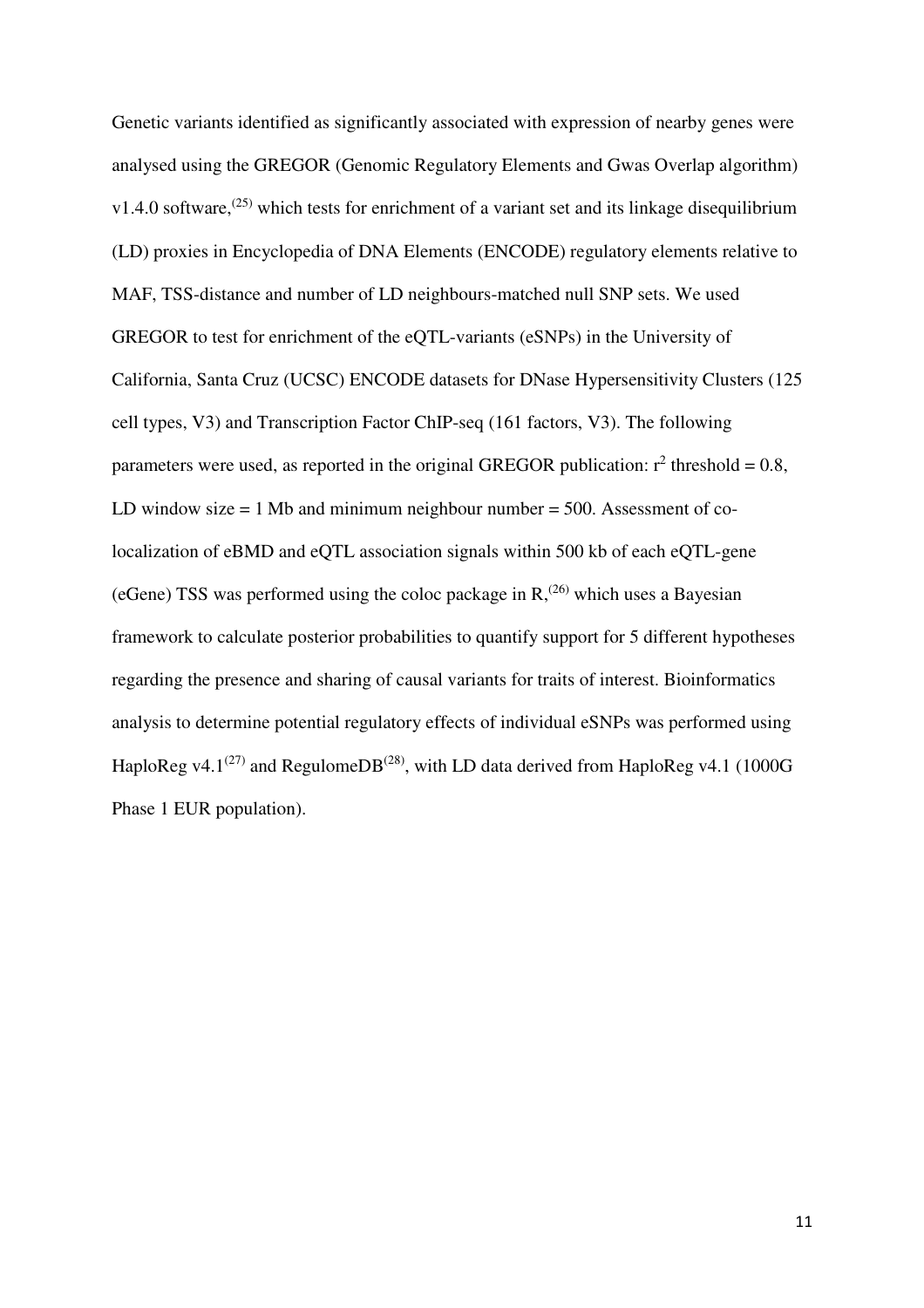Genetic variants identified as significantly associated with expression of nearby genes were analysed using the GREGOR (Genomic Regulatory Elements and Gwas Overlap algorithm)  $v1.4.0$  software,<sup>(25)</sup> which tests for enrichment of a variant set and its linkage disequilibrium (LD) proxies in Encyclopedia of DNA Elements (ENCODE) regulatory elements relative to MAF, TSS-distance and number of LD neighbours-matched null SNP sets. We used GREGOR to test for enrichment of the eQTL-variants (eSNPs) in the University of California, Santa Cruz (UCSC) ENCODE datasets for DNase Hypersensitivity Clusters (125 cell types, V3) and Transcription Factor ChIP-seq (161 factors, V3). The following parameters were used, as reported in the original GREGOR publication:  $r^2$  threshold = 0.8, LD window size  $= 1$  Mb and minimum neighbour number  $= 500$ . Assessment of colocalization of eBMD and eQTL association signals within 500 kb of each eQTL-gene (eGene) TSS was performed using the coloc package in  $R<sub>1</sub><sup>(26)</sup>$  which uses a Bayesian framework to calculate posterior probabilities to quantify support for 5 different hypotheses regarding the presence and sharing of causal variants for traits of interest. Bioinformatics analysis to determine potential regulatory effects of individual eSNPs was performed using HaploReg v4.1<sup>(27)</sup> and RegulomeDB<sup>(28)</sup>, with LD data derived from HaploReg v4.1 (1000G Phase 1 EUR population).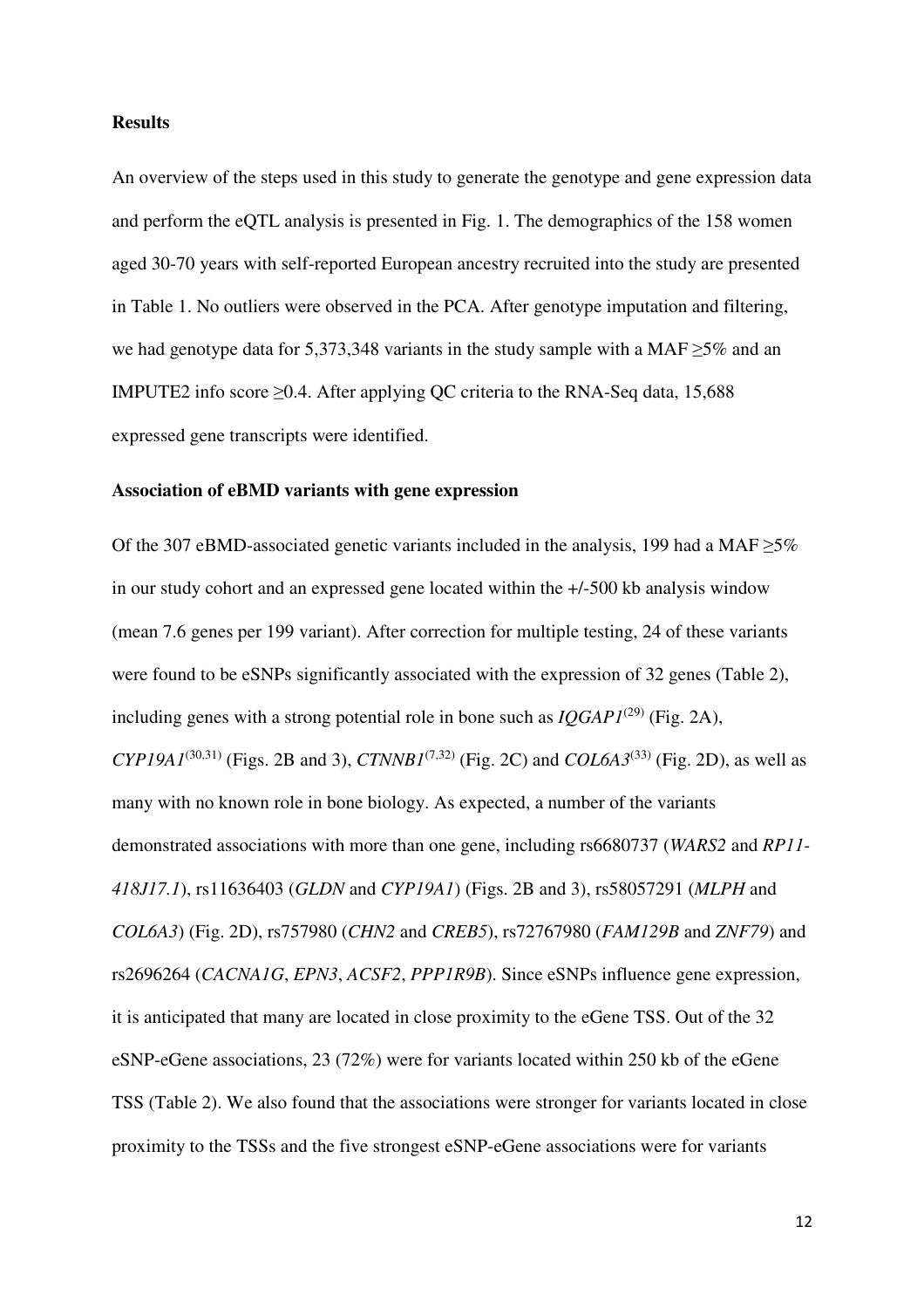### **Results**

An overview of the steps used in this study to generate the genotype and gene expression data and perform the eQTL analysis is presented in Fig. 1. The demographics of the 158 women aged 30-70 years with self-reported European ancestry recruited into the study are presented in Table 1. No outliers were observed in the PCA. After genotype imputation and filtering, we had genotype data for 5,373,348 variants in the study sample with a MAF ≥5% and an IMPUTE2 info score  $\geq 0.4$ . After applying QC criteria to the RNA-Seq data, 15,688 expressed gene transcripts were identified.

### **Association of eBMD variants with gene expression**

Of the 307 eBMD-associated genetic variants included in the analysis, 199 had a MAF  $\geq$ 5% in our study cohort and an expressed gene located within the +/-500 kb analysis window (mean 7.6 genes per 199 variant). After correction for multiple testing, 24 of these variants were found to be eSNPs significantly associated with the expression of 32 genes (Table 2), including genes with a strong potential role in bone such as  $IQGAPI^{(29)}$  (Fig. 2A), *CYP19A1*<sup>(30,31)</sup> (Figs. 2B and 3), *CTNNB1*<sup>(7,32)</sup> (Fig. 2C) and *COL6A3*<sup>(33)</sup> (Fig. 2D), as well as many with no known role in bone biology. As expected, a number of the variants demonstrated associations with more than one gene, including rs6680737 (*WARS2* and *RP11- 418J17.1*), rs11636403 (*GLDN* and *CYP19A1*) (Figs. 2B and 3), rs58057291 (*MLPH* and *COL6A3*) (Fig. 2D), rs757980 (*CHN2* and *CREB5*), rs72767980 (*FAM129B* and *ZNF79*) and rs2696264 (*CACNA1G*, *EPN3*, *ACSF2*, *PPP1R9B*). Since eSNPs influence gene expression, it is anticipated that many are located in close proximity to the eGene TSS. Out of the 32 eSNP-eGene associations, 23 (72%) were for variants located within 250 kb of the eGene TSS (Table 2). We also found that the associations were stronger for variants located in close proximity to the TSSs and the five strongest eSNP-eGene associations were for variants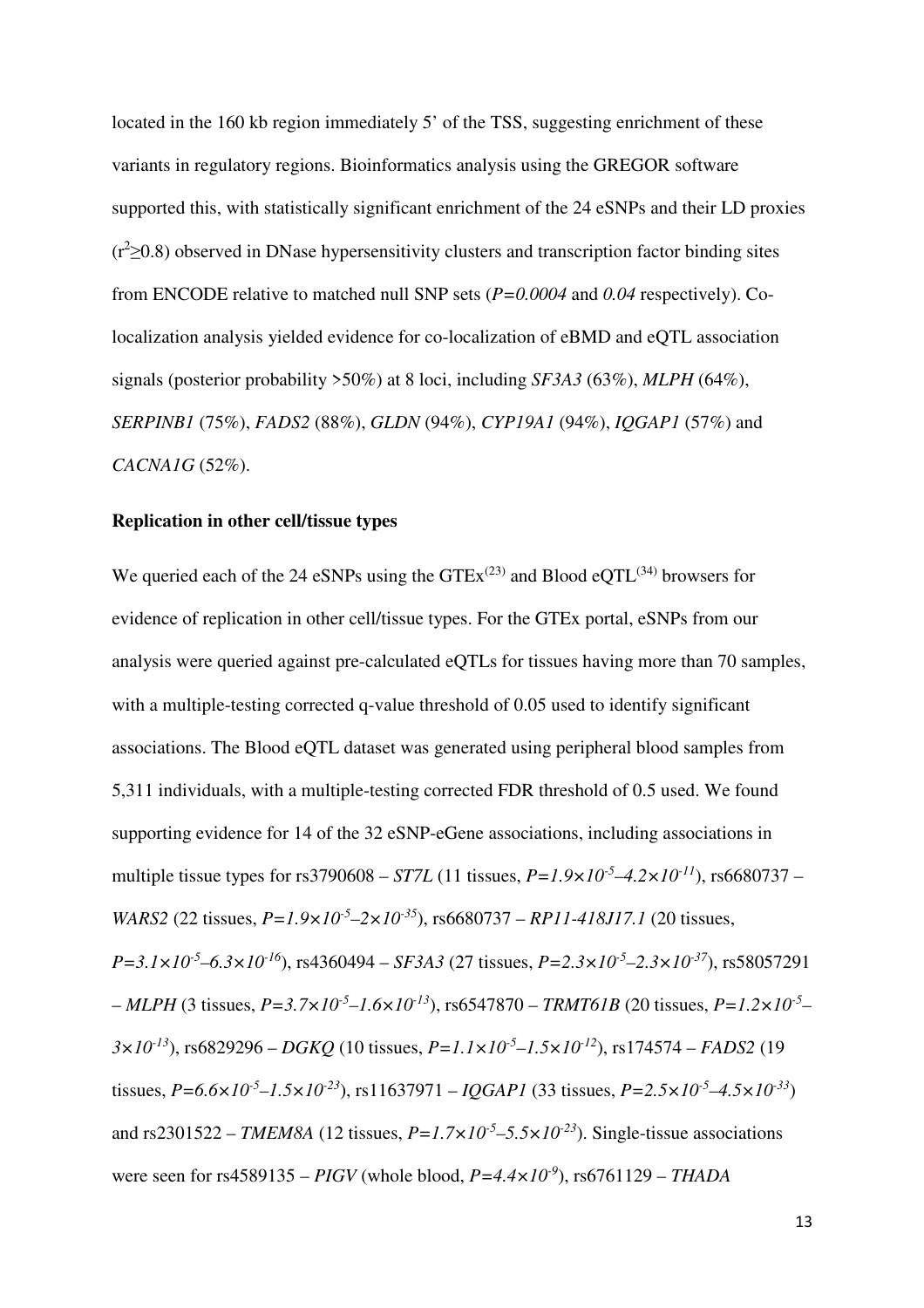located in the 160 kb region immediately 5' of the TSS, suggesting enrichment of these variants in regulatory regions. Bioinformatics analysis using the GREGOR software supported this, with statistically significant enrichment of the 24 eSNPs and their LD proxies  $(r^2>0.8)$  observed in DNase hypersensitivity clusters and transcription factor binding sites from ENCODE relative to matched null SNP sets (*P=0.0004* and *0.04* respectively). Colocalization analysis yielded evidence for co-localization of eBMD and eQTL association signals (posterior probability >50%) at 8 loci, including *SF3A3* (63%), *MLPH* (64%), *SERPINB1* (75%), *FADS2* (88%), *GLDN* (94%), *CYP19A1* (94%), *IQGAP1* (57%) and *CACNA1G* (52%).

### **Replication in other cell/tissue types**

We queried each of the 24 eSNPs using the  $GTEx^{(23)}$  and Blood eQTL<sup>(34)</sup> browsers for evidence of replication in other cell/tissue types. For the GTEx portal, eSNPs from our analysis were queried against pre-calculated eQTLs for tissues having more than 70 samples, with a multiple-testing corrected q-value threshold of 0.05 used to identify significant associations. The Blood eQTL dataset was generated using peripheral blood samples from 5,311 individuals, with a multiple-testing corrected FDR threshold of 0.5 used. We found supporting evidence for 14 of the 32 eSNP-eGene associations, including associations in multiple tissue types for rs3790608 – *ST7L* (11 tissues,  $P = 1.9 \times 10^{-5} - 4.2 \times 10^{-11}$ ), rs6680737 – *WARS2* (22 tissues, *P=1.9×10-5–2×10-35*), rs6680737 – *RP11-418J17.1* (20 tissues, *P=3.1×10-5–6.3×10-16*), rs4360494 – *SF3A3* (27 tissues, *P=2.3×10-5–2.3×10-37*), rs58057291 – *MLPH* (3 tissues, *P=3.7×10-5–1.6×10-13*), rs6547870 – *TRMT61B* (20 tissues, *P=1.2×10-5 – 3×10-13*), rs6829296 – *DGKQ* (10 tissues, *P=1.1×10-5–1.5×10-12*), rs174574 – *FADS2* (19 tissues,  $P=6.6\times10^{-5}$  -1.5×10<sup>-23</sup>), rs11637971 – *IQGAP1* (33 tissues,  $P=2.5\times10^{-5}$  -4.5×10<sup>-33</sup>) and rs2301522 – *TMEM8A* (12 tissues,  $P=1.7\times10^{-5}$ –5.5× $10^{-23}$ ). Single-tissue associations were seen for rs4589135 – *PIGV* (whole blood, *P=4.4×10-9*), rs6761129 – *THADA*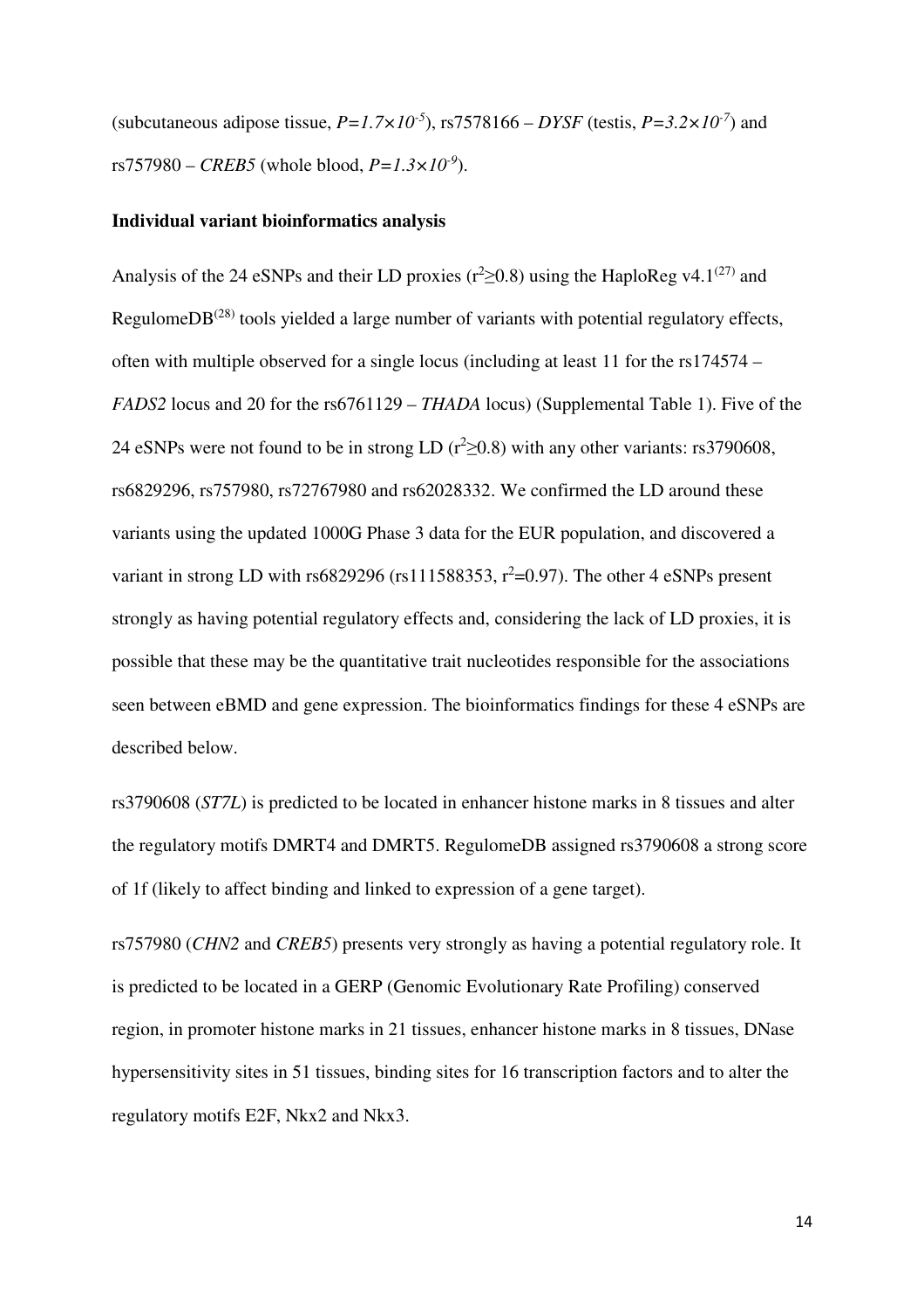(subcutaneous adipose tissue,  $P=1.7\times10^{-5}$ ), rs7578166 – *DYSF* (testis,  $P=3.2\times10^{-7}$ ) and  $rs757980 - CREB5$  (whole blood,  $P = 1.3 \times 10^{-9}$ ).

### **Individual variant bioinformatics analysis**

Analysis of the 24 eSNPs and their LD proxies ( $r^2 \ge 0.8$ ) using the HaploReg v4.1<sup>(27)</sup> and RegulomeD $B^{(28)}$  tools yielded a large number of variants with potential regulatory effects, often with multiple observed for a single locus (including at least 11 for the rs174574 – *FADS2* locus and 20 for the rs6761129 – *THADA* locus) (Supplemental Table 1). Five of the 24 eSNPs were not found to be in strong LD ( $r^2 \ge 0.8$ ) with any other variants: rs3790608, rs6829296, rs757980, rs72767980 and rs62028332. We confirmed the LD around these variants using the updated 1000G Phase 3 data for the EUR population, and discovered a variant in strong LD with rs6829296 (rs111588353,  $r^2$ =0.97). The other 4 eSNPs present strongly as having potential regulatory effects and, considering the lack of LD proxies, it is possible that these may be the quantitative trait nucleotides responsible for the associations seen between eBMD and gene expression. The bioinformatics findings for these 4 eSNPs are described below.

rs3790608 (*ST7L*) is predicted to be located in enhancer histone marks in 8 tissues and alter the regulatory motifs DMRT4 and DMRT5. RegulomeDB assigned rs3790608 a strong score of 1f (likely to affect binding and linked to expression of a gene target).

rs757980 (*CHN2* and *CREB5*) presents very strongly as having a potential regulatory role. It is predicted to be located in a GERP (Genomic Evolutionary Rate Profiling) conserved region, in promoter histone marks in 21 tissues, enhancer histone marks in 8 tissues, DNase hypersensitivity sites in 51 tissues, binding sites for 16 transcription factors and to alter the regulatory motifs E2F, Nkx2 and Nkx3.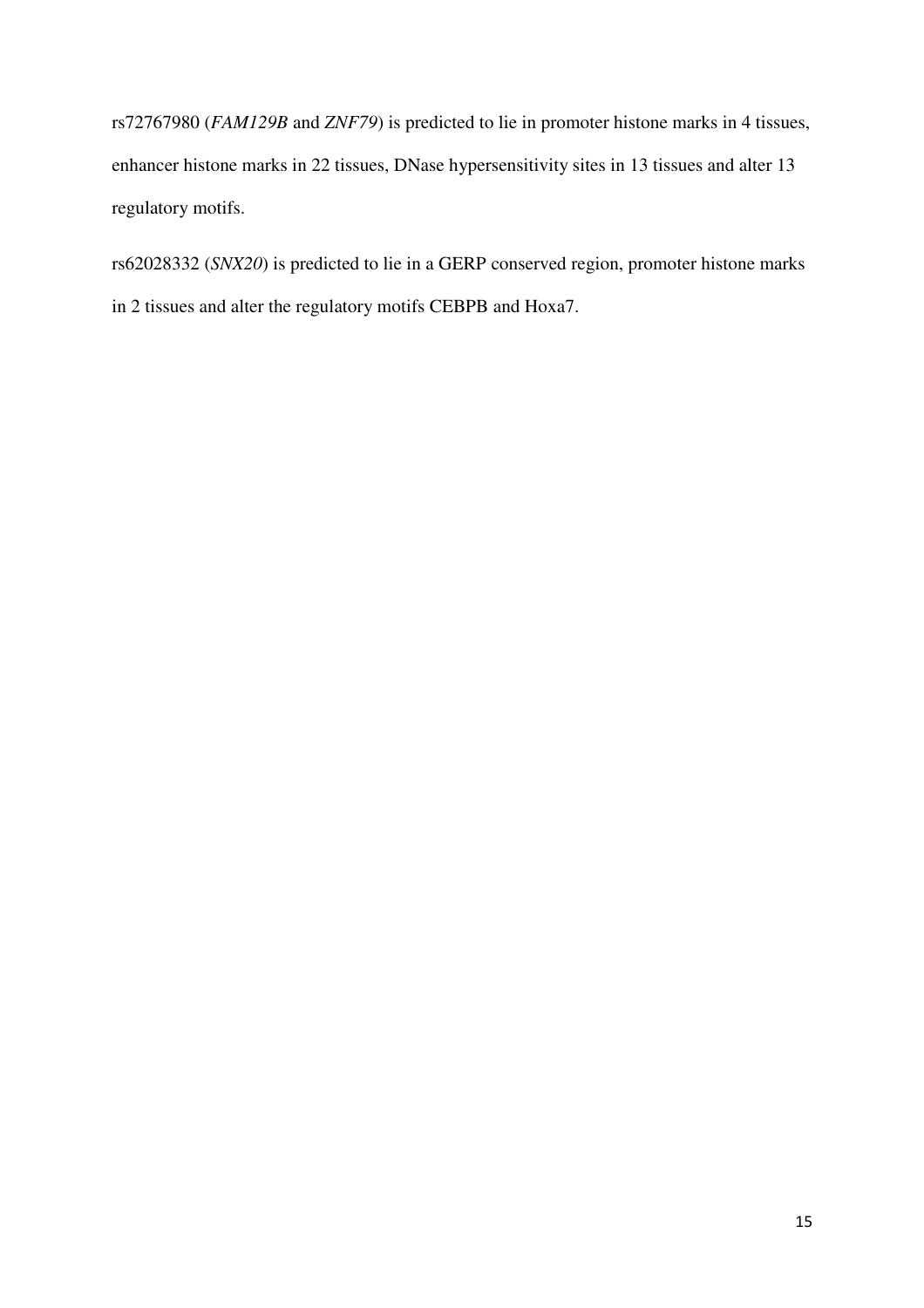rs72767980 (*FAM129B* and *ZNF79*) is predicted to lie in promoter histone marks in 4 tissues, enhancer histone marks in 22 tissues, DNase hypersensitivity sites in 13 tissues and alter 13 regulatory motifs.

rs62028332 (*SNX20*) is predicted to lie in a GERP conserved region, promoter histone marks in 2 tissues and alter the regulatory motifs CEBPB and Hoxa7.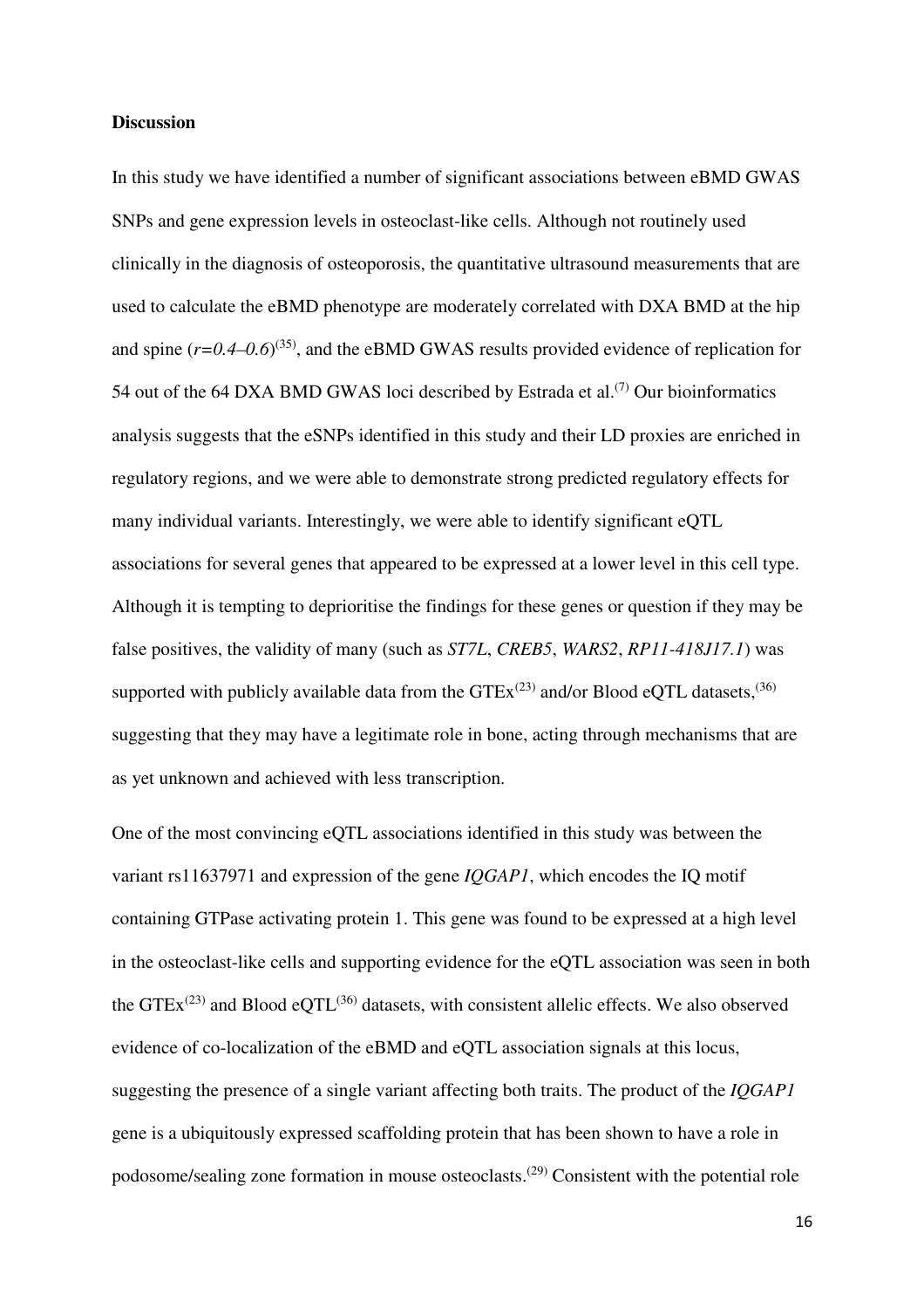### **Discussion**

In this study we have identified a number of significant associations between eBMD GWAS SNPs and gene expression levels in osteoclast-like cells. Although not routinely used clinically in the diagnosis of osteoporosis, the quantitative ultrasound measurements that are used to calculate the eBMD phenotype are moderately correlated with DXA BMD at the hip and spine  $(r=0.4-0.6)^{(35)}$ , and the eBMD GWAS results provided evidence of replication for 54 out of the 64 DXA BMD GWAS loci described by Estrada et al.<sup> $(7)$ </sup> Our bioinformatics analysis suggests that the eSNPs identified in this study and their LD proxies are enriched in regulatory regions, and we were able to demonstrate strong predicted regulatory effects for many individual variants. Interestingly, we were able to identify significant eQTL associations for several genes that appeared to be expressed at a lower level in this cell type. Although it is tempting to deprioritise the findings for these genes or question if they may be false positives, the validity of many (such as *ST7L*, *CREB5*, *WARS2*, *RP11-418J17.1*) was supported with publicly available data from the  $GTEx^{(23)}$  and/or Blood eQTL datasets,  $^{(36)}$ suggesting that they may have a legitimate role in bone, acting through mechanisms that are as yet unknown and achieved with less transcription.

One of the most convincing eQTL associations identified in this study was between the variant rs11637971 and expression of the gene *IQGAP1*, which encodes the IQ motif containing GTPase activating protein 1. This gene was found to be expressed at a high level in the osteoclast-like cells and supporting evidence for the eQTL association was seen in both the GTE $x^{(23)}$  and Blood eQTL<sup>(36)</sup> datasets, with consistent allelic effects. We also observed evidence of co-localization of the eBMD and eQTL association signals at this locus, suggesting the presence of a single variant affecting both traits. The product of the *IQGAP1* gene is a ubiquitously expressed scaffolding protein that has been shown to have a role in podosome/sealing zone formation in mouse osteoclasts.(29) Consistent with the potential role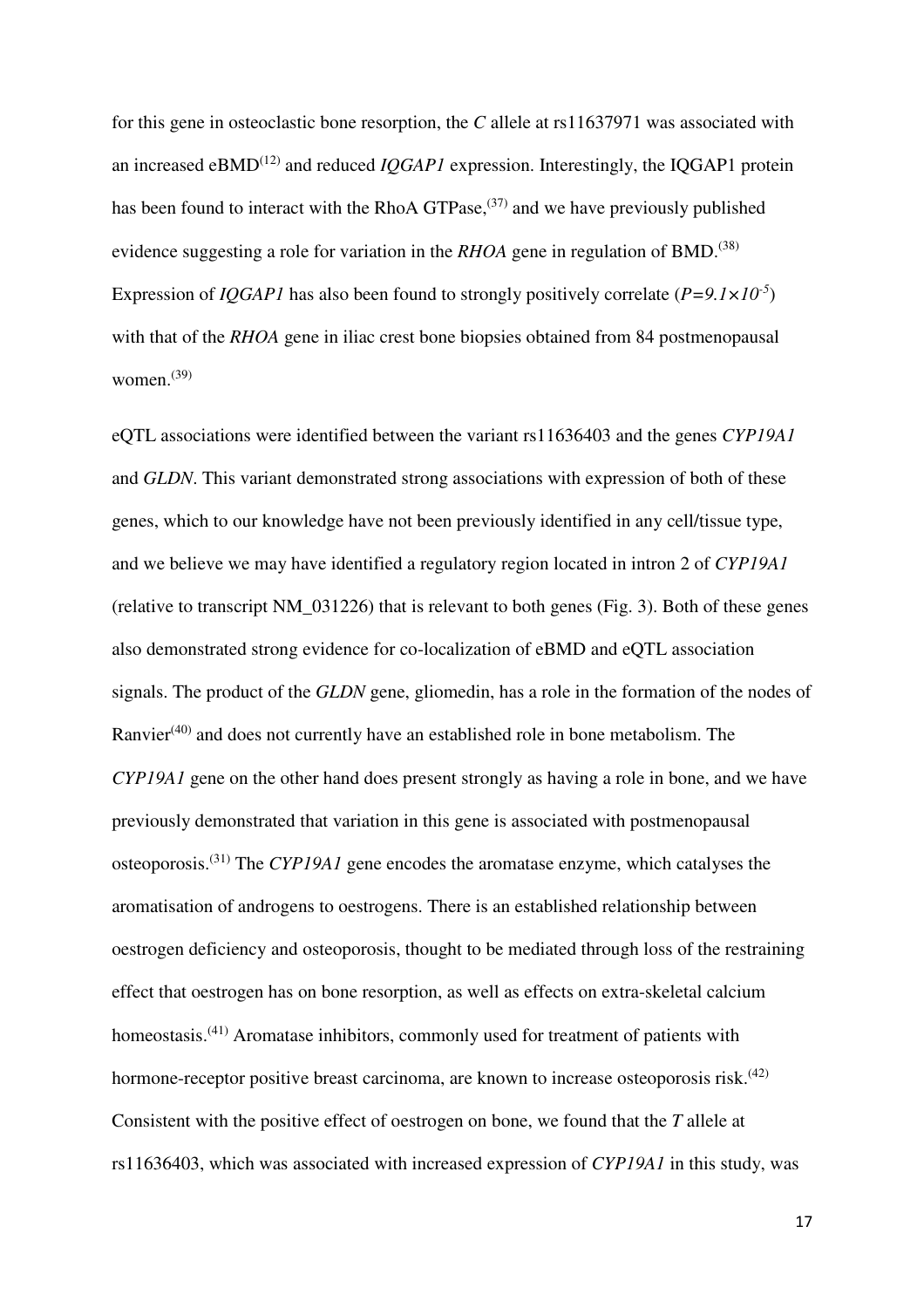for this gene in osteoclastic bone resorption, the *C* allele at rs11637971 was associated with an increased  $eBMD<sup>(12)</sup>$  and reduced *IOGAP1* expression. Interestingly, the IOGAP1 protein has been found to interact with the RhoA  $GTPase$ ,  $(37)$  and we have previously published evidence suggesting a role for variation in the *RHOA* gene in regulation of BMD.<sup>(38)</sup> Expression of *IQGAP1* has also been found to strongly positively correlate (*P=9.1×10-5*) with that of the *RHOA* gene in iliac crest bone biopsies obtained from 84 postmenopausal women. $^{(39)}$ 

eQTL associations were identified between the variant rs11636403 and the genes *CYP19A1* and *GLDN*. This variant demonstrated strong associations with expression of both of these genes, which to our knowledge have not been previously identified in any cell/tissue type, and we believe we may have identified a regulatory region located in intron 2 of *CYP19A1* (relative to transcript NM\_031226) that is relevant to both genes (Fig. 3). Both of these genes also demonstrated strong evidence for co-localization of eBMD and eQTL association signals. The product of the *GLDN* gene, gliomedin, has a role in the formation of the nodes of Ranvier<sup>(40)</sup> and does not currently have an established role in bone metabolism. The *CYP19A1* gene on the other hand does present strongly as having a role in bone, and we have previously demonstrated that variation in this gene is associated with postmenopausal osteoporosis.(31) The *CYP19A1* gene encodes the aromatase enzyme, which catalyses the aromatisation of androgens to oestrogens. There is an established relationship between oestrogen deficiency and osteoporosis, thought to be mediated through loss of the restraining effect that oestrogen has on bone resorption, as well as effects on extra-skeletal calcium homeostasis.<sup>(41)</sup> Aromatase inhibitors, commonly used for treatment of patients with hormone-receptor positive breast carcinoma, are known to increase osteoporosis risk.<sup> $(42)$ </sup> Consistent with the positive effect of oestrogen on bone, we found that the *T* allele at rs11636403, which was associated with increased expression of *CYP19A1* in this study, was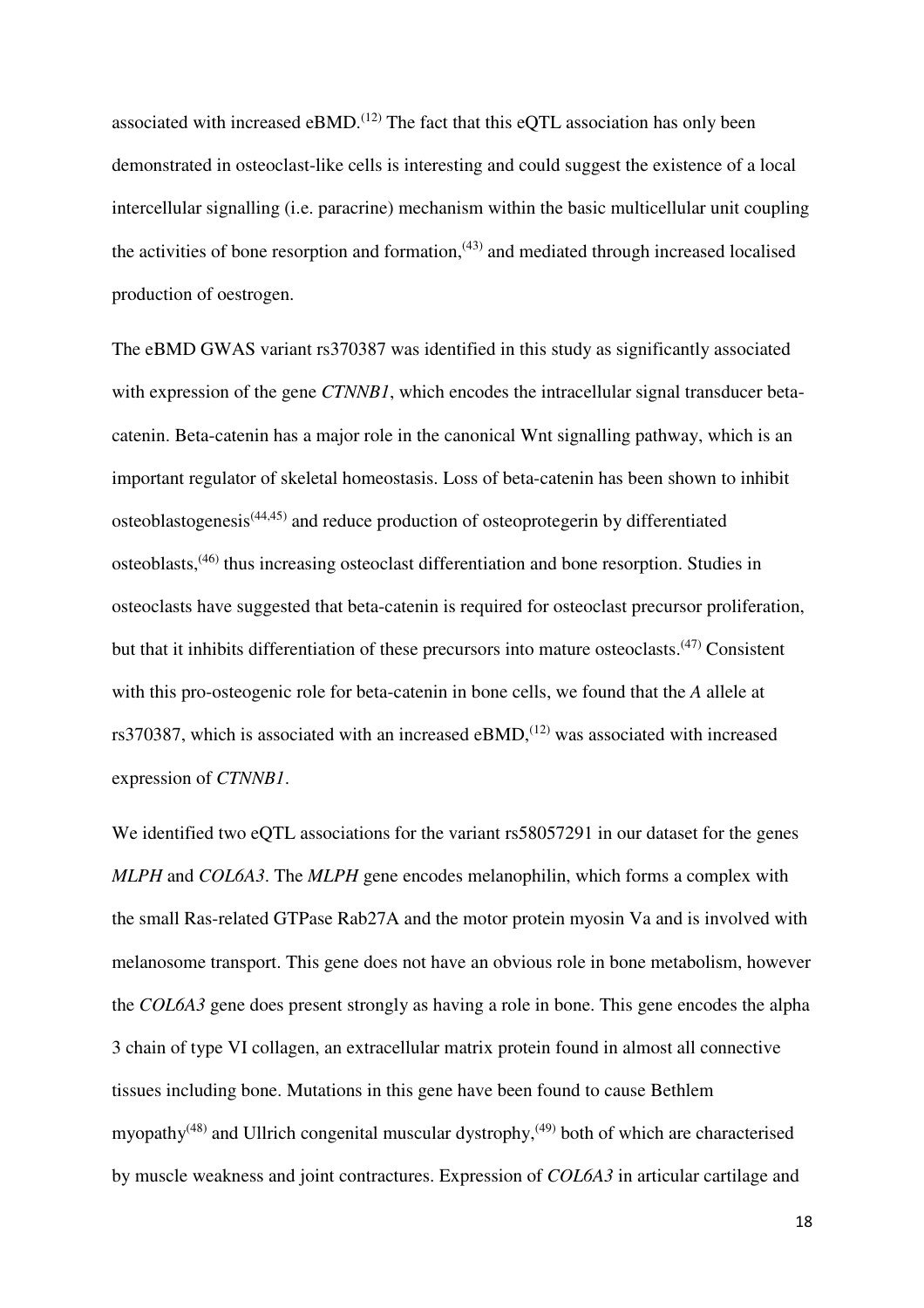associated with increased  $eBMD$ .<sup> $(12)$ </sup> The fact that this  $eOTL$  association has only been demonstrated in osteoclast-like cells is interesting and could suggest the existence of a local intercellular signalling (i.e. paracrine) mechanism within the basic multicellular unit coupling the activities of bone resorption and formation, $(43)$  and mediated through increased localised production of oestrogen.

The eBMD GWAS variant rs370387 was identified in this study as significantly associated with expression of the gene *CTNNB1*, which encodes the intracellular signal transducer betacatenin. Beta-catenin has a major role in the canonical Wnt signalling pathway, which is an important regulator of skeletal homeostasis. Loss of beta-catenin has been shown to inhibit osteoblastogenesis(44,45) and reduce production of osteoprotegerin by differentiated osteoblasts,(46) thus increasing osteoclast differentiation and bone resorption. Studies in osteoclasts have suggested that beta-catenin is required for osteoclast precursor proliferation, but that it inhibits differentiation of these precursors into mature osteoclasts.<sup>(47)</sup> Consistent with this pro-osteogenic role for beta-catenin in bone cells, we found that the *A* allele at rs370387, which is associated with an increased  $eBMD$ ,<sup> $(12)$ </sup> was associated with increased expression of *CTNNB1*.

We identified two eQTL associations for the variant rs58057291 in our dataset for the genes *MLPH* and *COL6A3*. The *MLPH* gene encodes melanophilin, which forms a complex with the small Ras-related GTPase Rab27A and the motor protein myosin Va and is involved with melanosome transport. This gene does not have an obvious role in bone metabolism, however the *COL6A3* gene does present strongly as having a role in bone. This gene encodes the alpha 3 chain of type VI collagen, an extracellular matrix protein found in almost all connective tissues including bone. Mutations in this gene have been found to cause Bethlem myopathy<sup> $(48)$ </sup> and Ullrich congenital muscular dystrophy,<sup> $(49)$ </sup> both of which are characterised by muscle weakness and joint contractures. Expression of *COL6A3* in articular cartilage and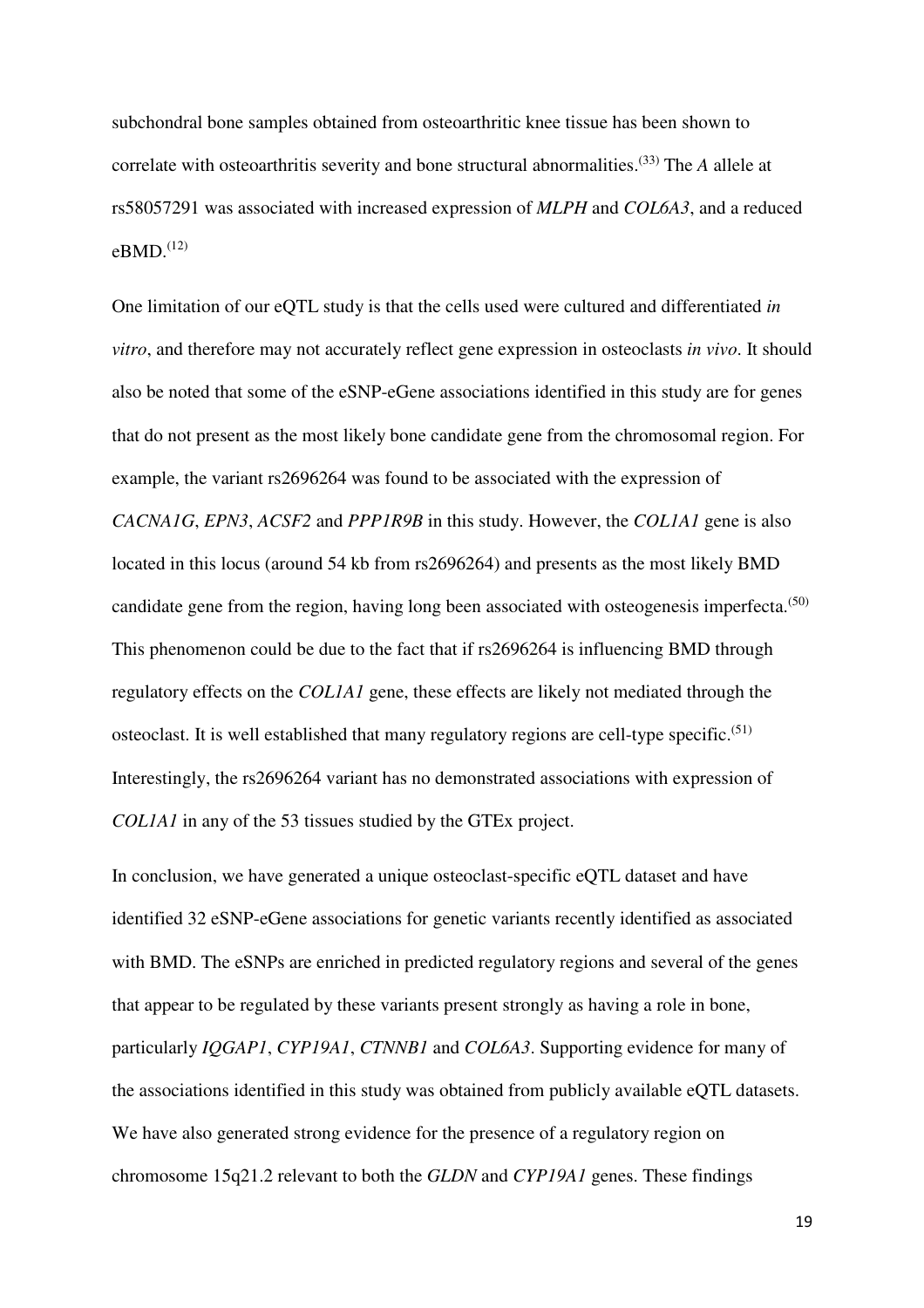subchondral bone samples obtained from osteoarthritic knee tissue has been shown to correlate with osteoarthritis severity and bone structural abnormalities.(33) The *A* allele at rs58057291 was associated with increased expression of *MLPH* and *COL6A3*, and a reduced  $eBMD.$ <sup>(12)</sup>

One limitation of our eQTL study is that the cells used were cultured and differentiated *in vitro*, and therefore may not accurately reflect gene expression in osteoclasts *in vivo*. It should also be noted that some of the eSNP-eGene associations identified in this study are for genes that do not present as the most likely bone candidate gene from the chromosomal region. For example, the variant rs2696264 was found to be associated with the expression of *CACNA1G*, *EPN3*, *ACSF2* and *PPP1R9B* in this study. However, the *COL1A1* gene is also located in this locus (around 54 kb from rs2696264) and presents as the most likely BMD candidate gene from the region, having long been associated with osteogenesis imperfecta.<sup> $(50)$ </sup> This phenomenon could be due to the fact that if rs2696264 is influencing BMD through regulatory effects on the *COL1A1* gene, these effects are likely not mediated through the osteoclast. It is well established that many regulatory regions are cell-type specific.<sup> $(51)$ </sup> Interestingly, the rs2696264 variant has no demonstrated associations with expression of *COL1A1* in any of the 53 tissues studied by the GTEx project.

In conclusion, we have generated a unique osteoclast-specific eQTL dataset and have identified 32 eSNP-eGene associations for genetic variants recently identified as associated with BMD. The eSNPs are enriched in predicted regulatory regions and several of the genes that appear to be regulated by these variants present strongly as having a role in bone, particularly *IQGAP1*, *CYP19A1*, *CTNNB1* and *COL6A3*. Supporting evidence for many of the associations identified in this study was obtained from publicly available eQTL datasets. We have also generated strong evidence for the presence of a regulatory region on chromosome 15q21.2 relevant to both the *GLDN* and *CYP19A1* genes. These findings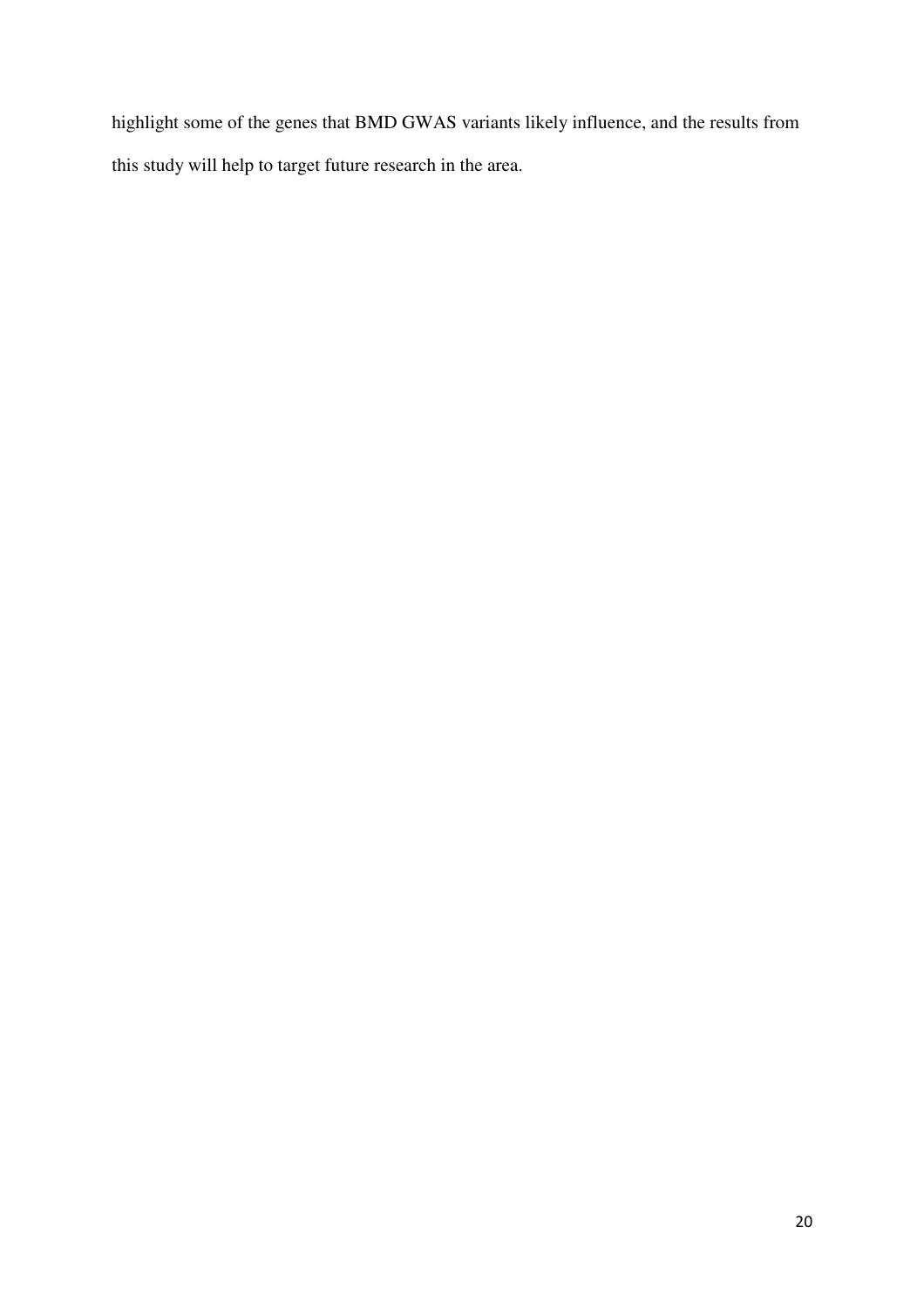highlight some of the genes that BMD GWAS variants likely influence, and the results from this study will help to target future research in the area.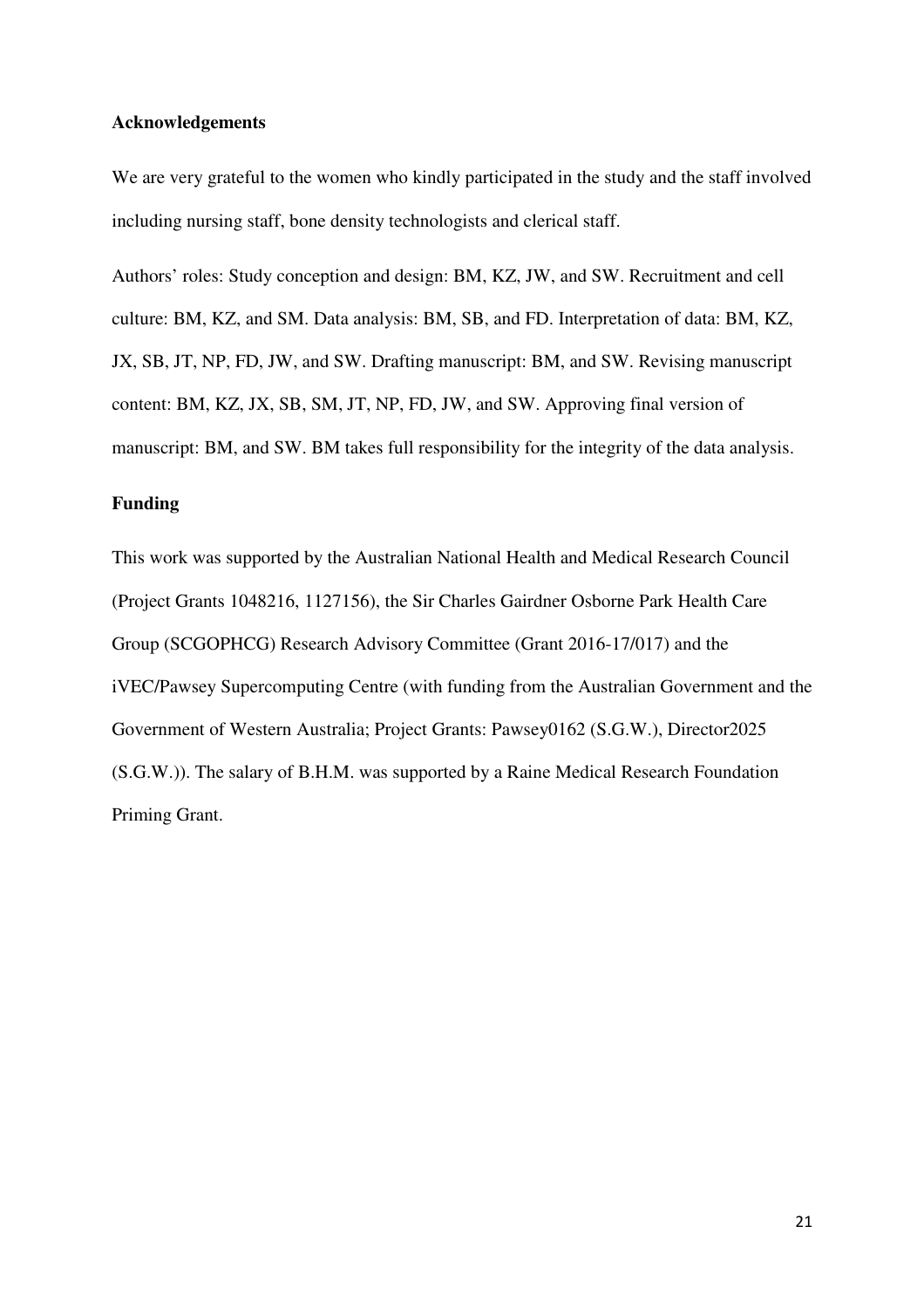### **Acknowledgements**

We are very grateful to the women who kindly participated in the study and the staff involved including nursing staff, bone density technologists and clerical staff.

Authors' roles: Study conception and design: BM, KZ, JW, and SW. Recruitment and cell culture: BM, KZ, and SM. Data analysis: BM, SB, and FD. Interpretation of data: BM, KZ, JX, SB, JT, NP, FD, JW, and SW. Drafting manuscript: BM, and SW. Revising manuscript content: BM, KZ, JX, SB, SM, JT, NP, FD, JW, and SW. Approving final version of manuscript: BM, and SW. BM takes full responsibility for the integrity of the data analysis.

### **Funding**

This work was supported by the Australian National Health and Medical Research Council (Project Grants 1048216, 1127156), the Sir Charles Gairdner Osborne Park Health Care Group (SCGOPHCG) Research Advisory Committee (Grant 2016-17/017) and the iVEC/Pawsey Supercomputing Centre (with funding from the Australian Government and the Government of Western Australia; Project Grants: Pawsey0162 (S.G.W.), Director2025 (S.G.W.)). The salary of B.H.M. was supported by a Raine Medical Research Foundation Priming Grant.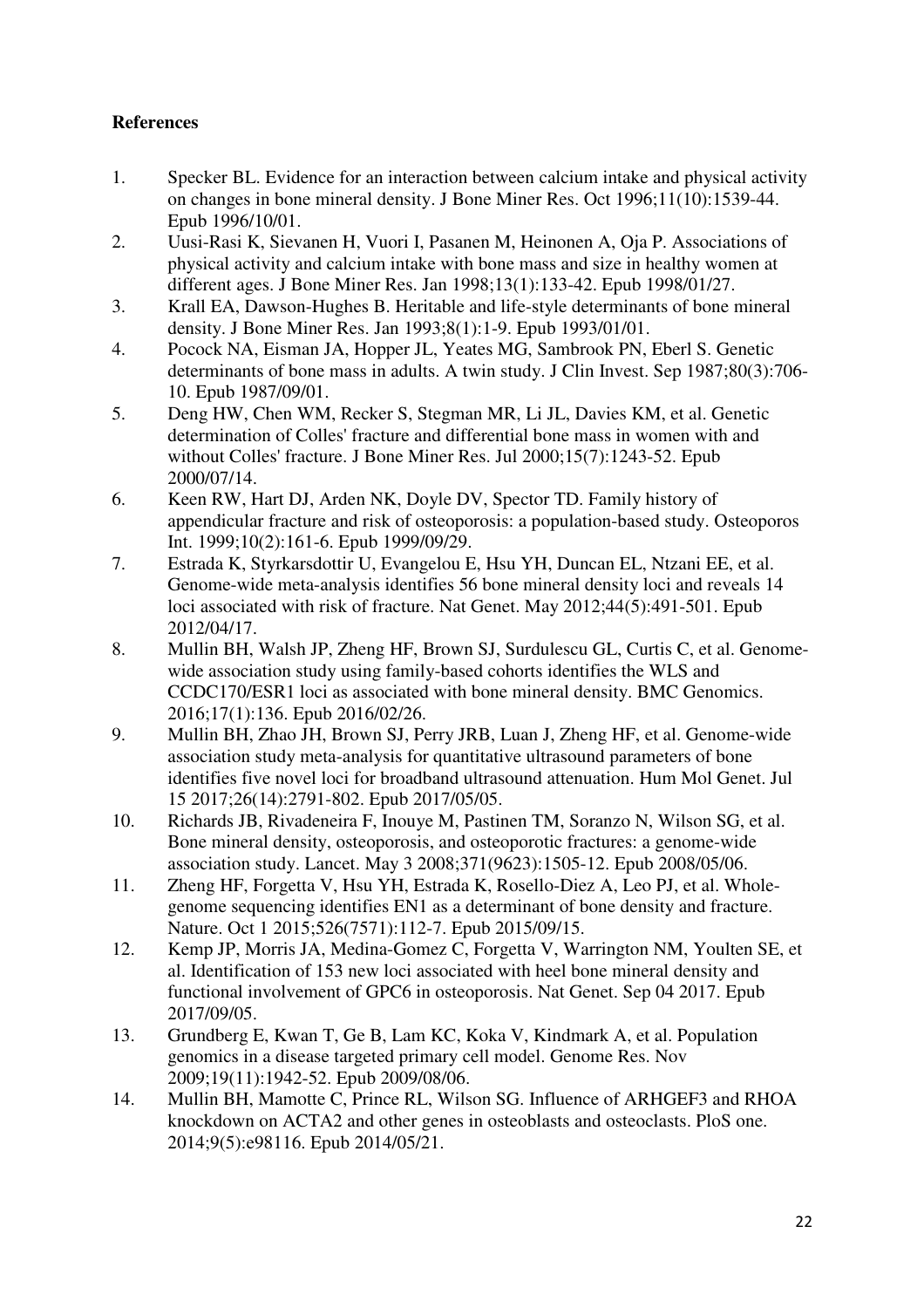# **References**

- 1. Specker BL. Evidence for an interaction between calcium intake and physical activity on changes in bone mineral density. J Bone Miner Res. Oct 1996;11(10):1539-44. Epub 1996/10/01.
- 2. Uusi-Rasi K, Sievanen H, Vuori I, Pasanen M, Heinonen A, Oja P. Associations of physical activity and calcium intake with bone mass and size in healthy women at different ages. J Bone Miner Res. Jan 1998;13(1):133-42. Epub 1998/01/27.
- 3. Krall EA, Dawson-Hughes B. Heritable and life-style determinants of bone mineral density. J Bone Miner Res. Jan 1993;8(1):1-9. Epub 1993/01/01.
- 4. Pocock NA, Eisman JA, Hopper JL, Yeates MG, Sambrook PN, Eberl S. Genetic determinants of bone mass in adults. A twin study. J Clin Invest. Sep 1987;80(3):706- 10. Epub 1987/09/01.
- 5. Deng HW, Chen WM, Recker S, Stegman MR, Li JL, Davies KM, et al. Genetic determination of Colles' fracture and differential bone mass in women with and without Colles' fracture. J Bone Miner Res. Jul 2000;15(7):1243-52. Epub 2000/07/14.
- 6. Keen RW, Hart DJ, Arden NK, Doyle DV, Spector TD. Family history of appendicular fracture and risk of osteoporosis: a population-based study. Osteoporos Int. 1999;10(2):161-6. Epub 1999/09/29.
- 7. Estrada K, Styrkarsdottir U, Evangelou E, Hsu YH, Duncan EL, Ntzani EE, et al. Genome-wide meta-analysis identifies 56 bone mineral density loci and reveals 14 loci associated with risk of fracture. Nat Genet. May 2012;44(5):491-501. Epub 2012/04/17.
- 8. Mullin BH, Walsh JP, Zheng HF, Brown SJ, Surdulescu GL, Curtis C, et al. Genomewide association study using family-based cohorts identifies the WLS and CCDC170/ESR1 loci as associated with bone mineral density. BMC Genomics. 2016;17(1):136. Epub 2016/02/26.
- 9. Mullin BH, Zhao JH, Brown SJ, Perry JRB, Luan J, Zheng HF, et al. Genome-wide association study meta-analysis for quantitative ultrasound parameters of bone identifies five novel loci for broadband ultrasound attenuation. Hum Mol Genet. Jul 15 2017;26(14):2791-802. Epub 2017/05/05.
- 10. Richards JB, Rivadeneira F, Inouye M, Pastinen TM, Soranzo N, Wilson SG, et al. Bone mineral density, osteoporosis, and osteoporotic fractures: a genome-wide association study. Lancet. May 3 2008;371(9623):1505-12. Epub 2008/05/06.
- 11. Zheng HF, Forgetta V, Hsu YH, Estrada K, Rosello-Diez A, Leo PJ, et al. Wholegenome sequencing identifies EN1 as a determinant of bone density and fracture. Nature. Oct 1 2015;526(7571):112-7. Epub 2015/09/15.
- 12. Kemp JP, Morris JA, Medina-Gomez C, Forgetta V, Warrington NM, Youlten SE, et al. Identification of 153 new loci associated with heel bone mineral density and functional involvement of GPC6 in osteoporosis. Nat Genet. Sep 04 2017. Epub 2017/09/05.
- 13. Grundberg E, Kwan T, Ge B, Lam KC, Koka V, Kindmark A, et al. Population genomics in a disease targeted primary cell model. Genome Res. Nov 2009;19(11):1942-52. Epub 2009/08/06.
- 14. Mullin BH, Mamotte C, Prince RL, Wilson SG. Influence of ARHGEF3 and RHOA knockdown on ACTA2 and other genes in osteoblasts and osteoclasts. PloS one. 2014;9(5):e98116. Epub 2014/05/21.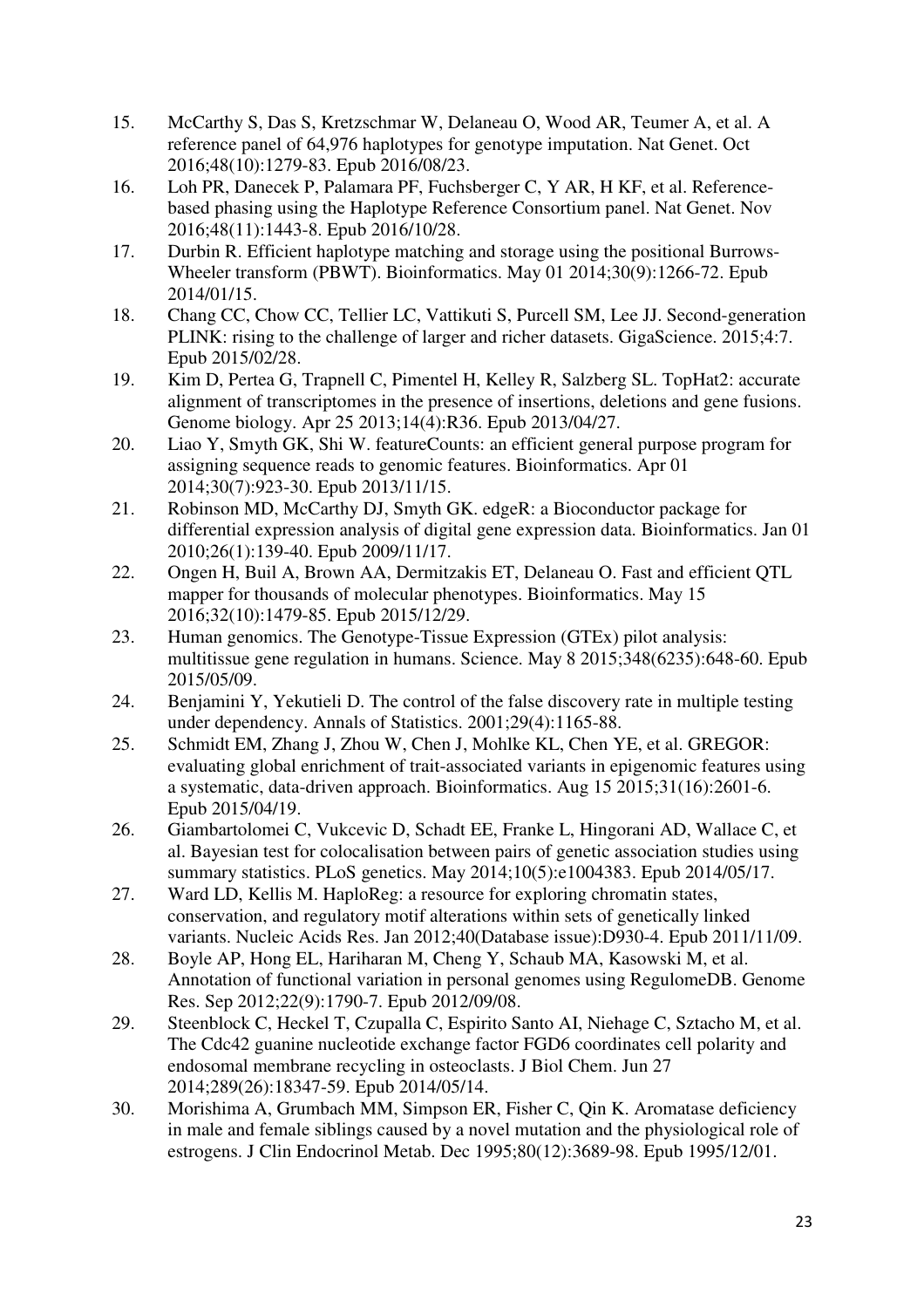- 15. McCarthy S, Das S, Kretzschmar W, Delaneau O, Wood AR, Teumer A, et al. A reference panel of 64,976 haplotypes for genotype imputation. Nat Genet. Oct 2016;48(10):1279-83. Epub 2016/08/23.
- 16. Loh PR, Danecek P, Palamara PF, Fuchsberger C, Y AR, H KF, et al. Referencebased phasing using the Haplotype Reference Consortium panel. Nat Genet. Nov 2016;48(11):1443-8. Epub 2016/10/28.
- 17. Durbin R. Efficient haplotype matching and storage using the positional Burrows-Wheeler transform (PBWT). Bioinformatics. May 01 2014;30(9):1266-72. Epub 2014/01/15.
- 18. Chang CC, Chow CC, Tellier LC, Vattikuti S, Purcell SM, Lee JJ. Second-generation PLINK: rising to the challenge of larger and richer datasets. GigaScience. 2015;4:7. Epub 2015/02/28.
- 19. Kim D, Pertea G, Trapnell C, Pimentel H, Kelley R, Salzberg SL. TopHat2: accurate alignment of transcriptomes in the presence of insertions, deletions and gene fusions. Genome biology. Apr 25 2013;14(4):R36. Epub 2013/04/27.
- 20. Liao Y, Smyth GK, Shi W. featureCounts: an efficient general purpose program for assigning sequence reads to genomic features. Bioinformatics. Apr 01 2014;30(7):923-30. Epub 2013/11/15.
- 21. Robinson MD, McCarthy DJ, Smyth GK. edgeR: a Bioconductor package for differential expression analysis of digital gene expression data. Bioinformatics. Jan 01 2010;26(1):139-40. Epub 2009/11/17.
- 22. Ongen H, Buil A, Brown AA, Dermitzakis ET, Delaneau O. Fast and efficient QTL mapper for thousands of molecular phenotypes. Bioinformatics. May 15 2016;32(10):1479-85. Epub 2015/12/29.
- 23. Human genomics. The Genotype-Tissue Expression (GTEx) pilot analysis: multitissue gene regulation in humans. Science. May 8 2015;348(6235):648-60. Epub 2015/05/09.
- 24. Benjamini Y, Yekutieli D. The control of the false discovery rate in multiple testing under dependency. Annals of Statistics. 2001;29(4):1165-88.
- 25. Schmidt EM, Zhang J, Zhou W, Chen J, Mohlke KL, Chen YE, et al. GREGOR: evaluating global enrichment of trait-associated variants in epigenomic features using a systematic, data-driven approach. Bioinformatics. Aug 15 2015;31(16):2601-6. Epub 2015/04/19.
- 26. Giambartolomei C, Vukcevic D, Schadt EE, Franke L, Hingorani AD, Wallace C, et al. Bayesian test for colocalisation between pairs of genetic association studies using summary statistics. PLoS genetics. May 2014;10(5):e1004383. Epub 2014/05/17.
- 27. Ward LD, Kellis M. HaploReg: a resource for exploring chromatin states, conservation, and regulatory motif alterations within sets of genetically linked variants. Nucleic Acids Res. Jan 2012;40(Database issue):D930-4. Epub 2011/11/09.
- 28. Boyle AP, Hong EL, Hariharan M, Cheng Y, Schaub MA, Kasowski M, et al. Annotation of functional variation in personal genomes using RegulomeDB. Genome Res. Sep 2012;22(9):1790-7. Epub 2012/09/08.
- 29. Steenblock C, Heckel T, Czupalla C, Espirito Santo AI, Niehage C, Sztacho M, et al. The Cdc42 guanine nucleotide exchange factor FGD6 coordinates cell polarity and endosomal membrane recycling in osteoclasts. J Biol Chem. Jun 27 2014;289(26):18347-59. Epub 2014/05/14.
- 30. Morishima A, Grumbach MM, Simpson ER, Fisher C, Qin K. Aromatase deficiency in male and female siblings caused by a novel mutation and the physiological role of estrogens. J Clin Endocrinol Metab. Dec 1995;80(12):3689-98. Epub 1995/12/01.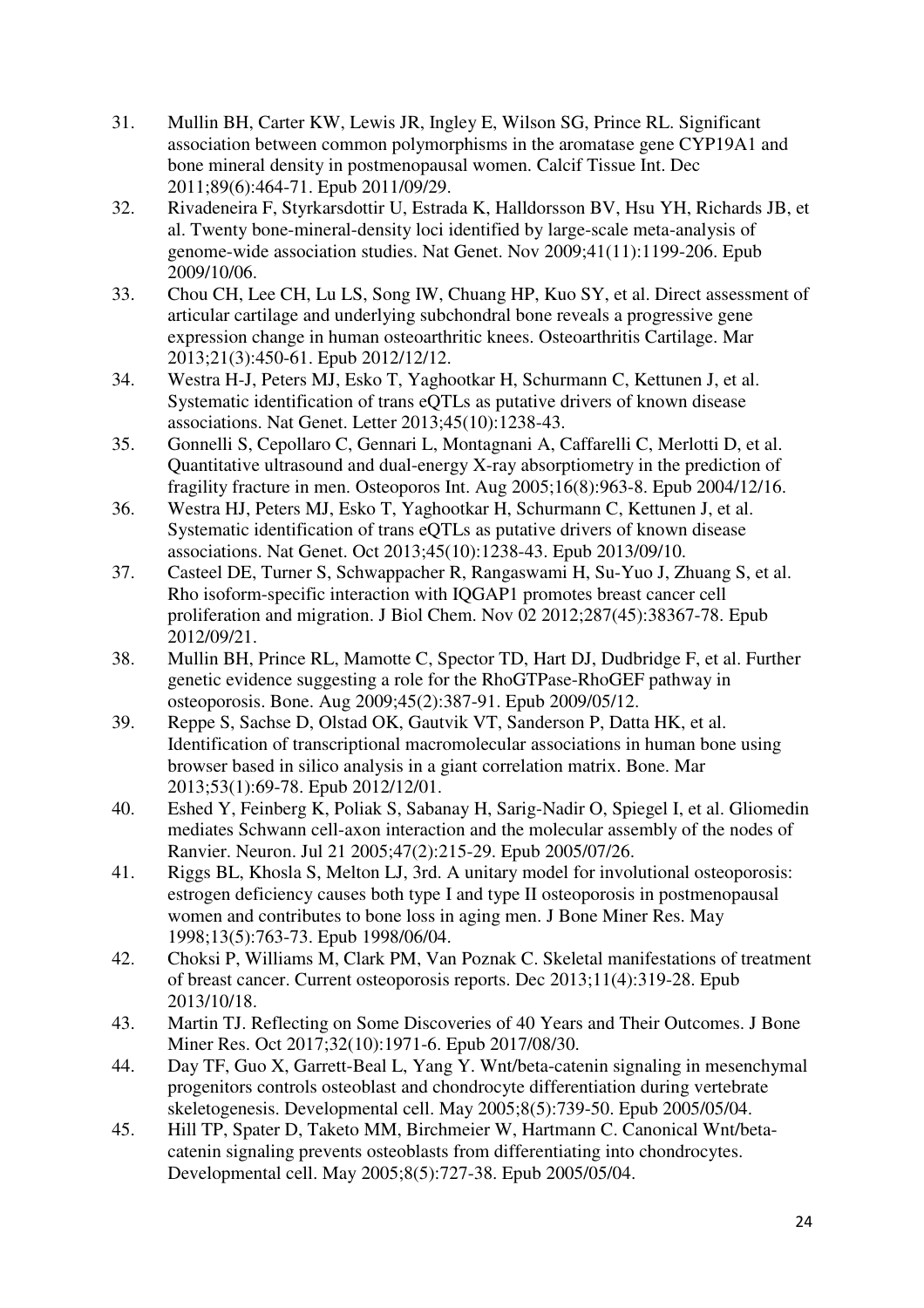- 31. Mullin BH, Carter KW, Lewis JR, Ingley E, Wilson SG, Prince RL. Significant association between common polymorphisms in the aromatase gene CYP19A1 and bone mineral density in postmenopausal women. Calcif Tissue Int. Dec 2011;89(6):464-71. Epub 2011/09/29.
- 32. Rivadeneira F, Styrkarsdottir U, Estrada K, Halldorsson BV, Hsu YH, Richards JB, et al. Twenty bone-mineral-density loci identified by large-scale meta-analysis of genome-wide association studies. Nat Genet. Nov 2009;41(11):1199-206. Epub 2009/10/06.
- 33. Chou CH, Lee CH, Lu LS, Song IW, Chuang HP, Kuo SY, et al. Direct assessment of articular cartilage and underlying subchondral bone reveals a progressive gene expression change in human osteoarthritic knees. Osteoarthritis Cartilage. Mar 2013;21(3):450-61. Epub 2012/12/12.
- 34. Westra H-J, Peters MJ, Esko T, Yaghootkar H, Schurmann C, Kettunen J, et al. Systematic identification of trans eQTLs as putative drivers of known disease associations. Nat Genet. Letter 2013;45(10):1238-43.
- 35. Gonnelli S, Cepollaro C, Gennari L, Montagnani A, Caffarelli C, Merlotti D, et al. Quantitative ultrasound and dual-energy X-ray absorptiometry in the prediction of fragility fracture in men. Osteoporos Int. Aug 2005;16(8):963-8. Epub 2004/12/16.
- 36. Westra HJ, Peters MJ, Esko T, Yaghootkar H, Schurmann C, Kettunen J, et al. Systematic identification of trans eQTLs as putative drivers of known disease associations. Nat Genet. Oct 2013;45(10):1238-43. Epub 2013/09/10.
- 37. Casteel DE, Turner S, Schwappacher R, Rangaswami H, Su-Yuo J, Zhuang S, et al. Rho isoform-specific interaction with IQGAP1 promotes breast cancer cell proliferation and migration. J Biol Chem. Nov 02 2012;287(45):38367-78. Epub 2012/09/21.
- 38. Mullin BH, Prince RL, Mamotte C, Spector TD, Hart DJ, Dudbridge F, et al. Further genetic evidence suggesting a role for the RhoGTPase-RhoGEF pathway in osteoporosis. Bone. Aug 2009;45(2):387-91. Epub 2009/05/12.
- 39. Reppe S, Sachse D, Olstad OK, Gautvik VT, Sanderson P, Datta HK, et al. Identification of transcriptional macromolecular associations in human bone using browser based in silico analysis in a giant correlation matrix. Bone. Mar 2013;53(1):69-78. Epub 2012/12/01.
- 40. Eshed Y, Feinberg K, Poliak S, Sabanay H, Sarig-Nadir O, Spiegel I, et al. Gliomedin mediates Schwann cell-axon interaction and the molecular assembly of the nodes of Ranvier. Neuron. Jul 21 2005;47(2):215-29. Epub 2005/07/26.
- 41. Riggs BL, Khosla S, Melton LJ, 3rd. A unitary model for involutional osteoporosis: estrogen deficiency causes both type I and type II osteoporosis in postmenopausal women and contributes to bone loss in aging men. J Bone Miner Res. May 1998;13(5):763-73. Epub 1998/06/04.
- 42. Choksi P, Williams M, Clark PM, Van Poznak C. Skeletal manifestations of treatment of breast cancer. Current osteoporosis reports. Dec 2013;11(4):319-28. Epub 2013/10/18.
- 43. Martin TJ. Reflecting on Some Discoveries of 40 Years and Their Outcomes. J Bone Miner Res. Oct 2017;32(10):1971-6. Epub 2017/08/30.
- 44. Day TF, Guo X, Garrett-Beal L, Yang Y. Wnt/beta-catenin signaling in mesenchymal progenitors controls osteoblast and chondrocyte differentiation during vertebrate skeletogenesis. Developmental cell. May 2005;8(5):739-50. Epub 2005/05/04.
- 45. Hill TP, Spater D, Taketo MM, Birchmeier W, Hartmann C. Canonical Wnt/betacatenin signaling prevents osteoblasts from differentiating into chondrocytes. Developmental cell. May 2005;8(5):727-38. Epub 2005/05/04.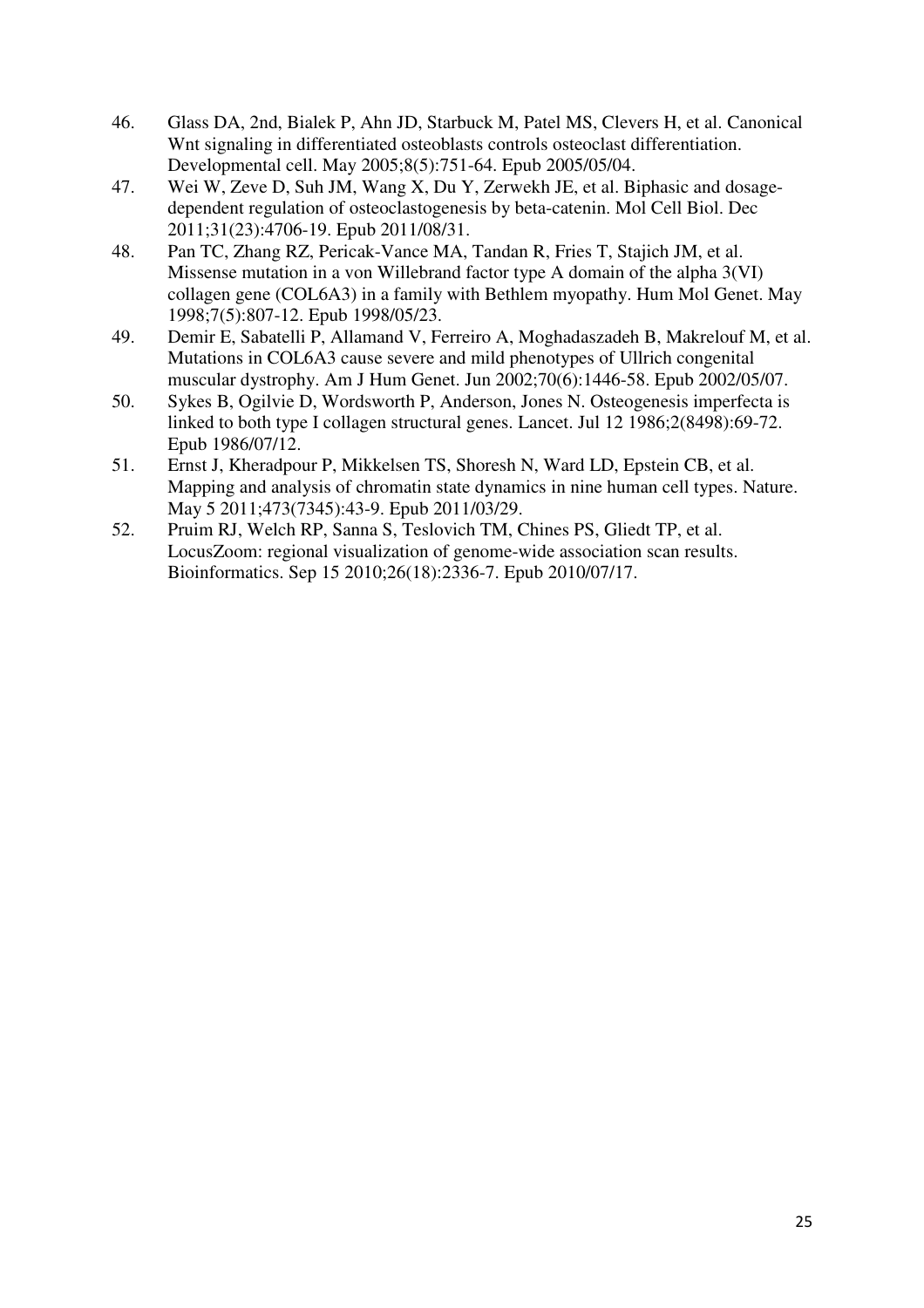- 46. Glass DA, 2nd, Bialek P, Ahn JD, Starbuck M, Patel MS, Clevers H, et al. Canonical Wnt signaling in differentiated osteoblasts controls osteoclast differentiation. Developmental cell. May 2005;8(5):751-64. Epub 2005/05/04.
- 47. Wei W, Zeve D, Suh JM, Wang X, Du Y, Zerwekh JE, et al. Biphasic and dosagedependent regulation of osteoclastogenesis by beta-catenin. Mol Cell Biol. Dec 2011;31(23):4706-19. Epub 2011/08/31.
- 48. Pan TC, Zhang RZ, Pericak-Vance MA, Tandan R, Fries T, Stajich JM, et al. Missense mutation in a von Willebrand factor type A domain of the alpha 3(VI) collagen gene (COL6A3) in a family with Bethlem myopathy. Hum Mol Genet. May 1998;7(5):807-12. Epub 1998/05/23.
- 49. Demir E, Sabatelli P, Allamand V, Ferreiro A, Moghadaszadeh B, Makrelouf M, et al. Mutations in COL6A3 cause severe and mild phenotypes of Ullrich congenital muscular dystrophy. Am J Hum Genet. Jun 2002;70(6):1446-58. Epub 2002/05/07.
- 50. Sykes B, Ogilvie D, Wordsworth P, Anderson, Jones N. Osteogenesis imperfecta is linked to both type I collagen structural genes. Lancet. Jul 12 1986;2(8498):69-72. Epub 1986/07/12.
- 51. Ernst J, Kheradpour P, Mikkelsen TS, Shoresh N, Ward LD, Epstein CB, et al. Mapping and analysis of chromatin state dynamics in nine human cell types. Nature. May 5 2011;473(7345):43-9. Epub 2011/03/29.
- 52. Pruim RJ, Welch RP, Sanna S, Teslovich TM, Chines PS, Gliedt TP, et al. LocusZoom: regional visualization of genome-wide association scan results. Bioinformatics. Sep 15 2010;26(18):2336-7. Epub 2010/07/17.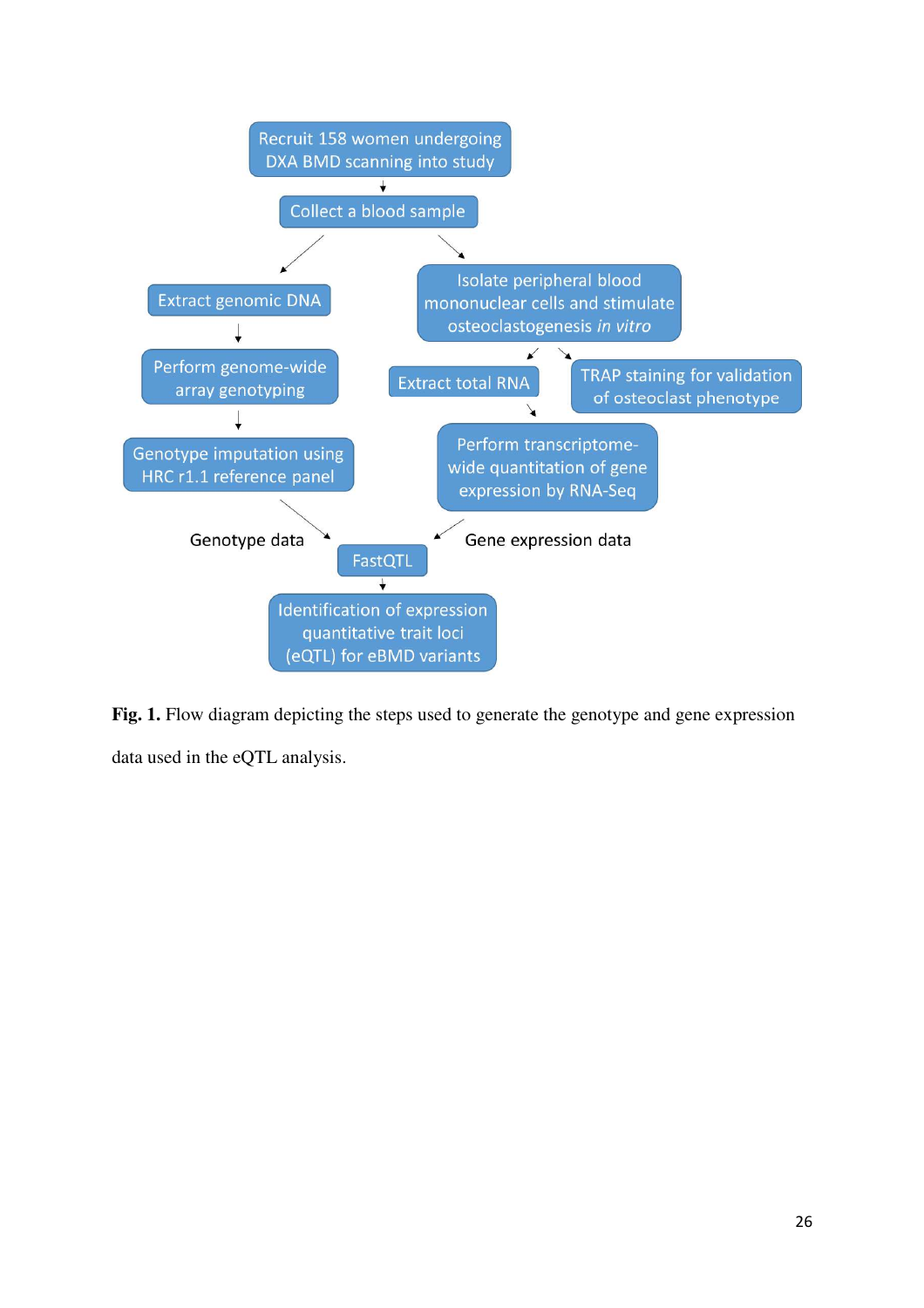

Fig. 1. Flow diagram depicting the steps used to generate the genotype and gene expression data used in the eQTL analysis.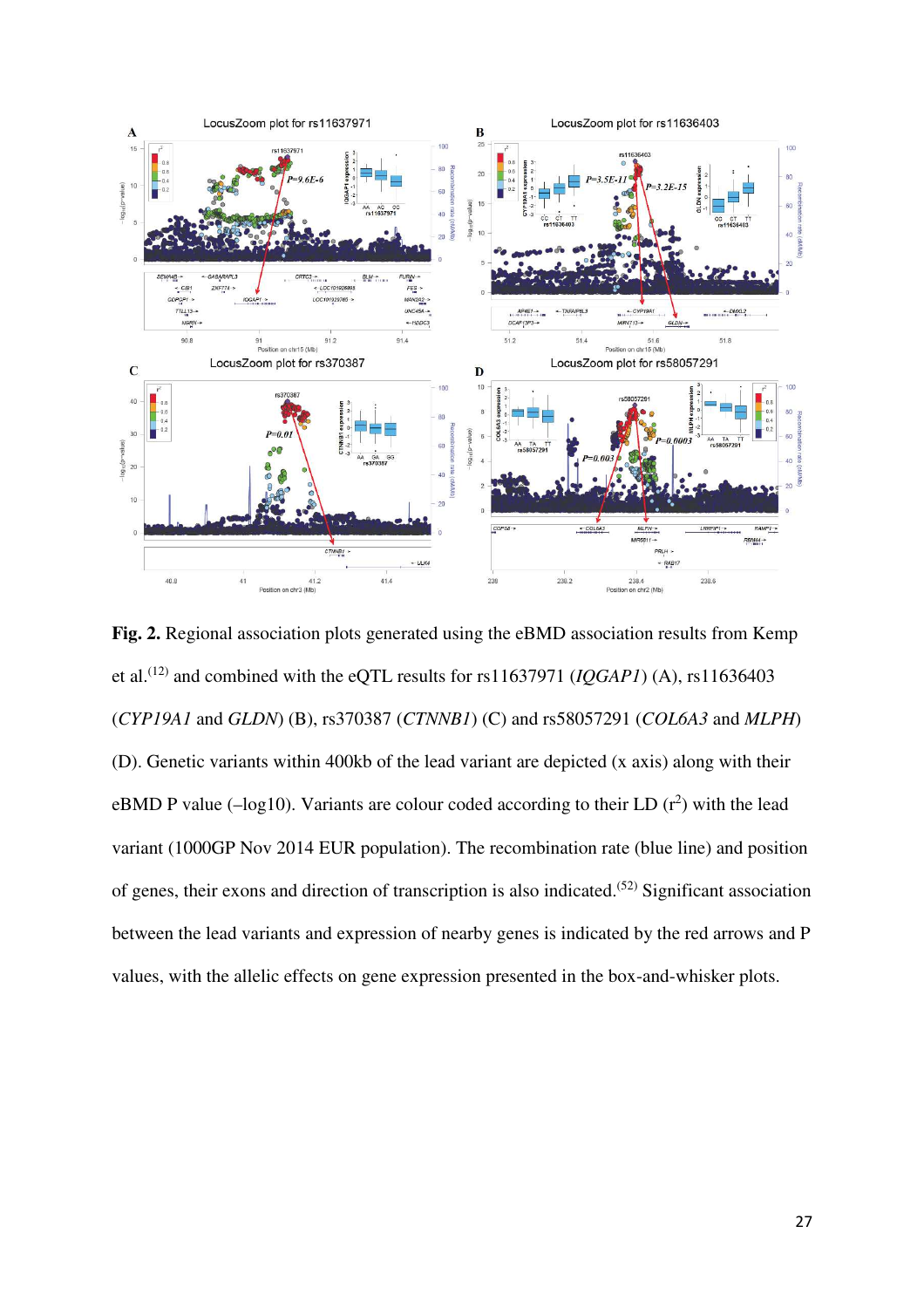

**Fig. 2.** Regional association plots generated using the eBMD association results from Kemp et al.<sup>(12)</sup> and combined with the eQTL results for rs11637971 ( $IQGAPI$ ) (A), rs11636403 (*CYP19A1* and *GLDN*) (B), rs370387 (*CTNNB1*) (C) and rs58057291 (*COL6A3* and *MLPH*) (D). Genetic variants within 400kb of the lead variant are depicted (x axis) along with their eBMD P value ( $-\log 10$ ). Variants are colour coded according to their LD ( $r^2$ ) with the lead variant (1000GP Nov 2014 EUR population). The recombination rate (blue line) and position of genes, their exons and direction of transcription is also indicated.<sup> $(52)$ </sup> Significant association between the lead variants and expression of nearby genes is indicated by the red arrows and P values, with the allelic effects on gene expression presented in the box-and-whisker plots.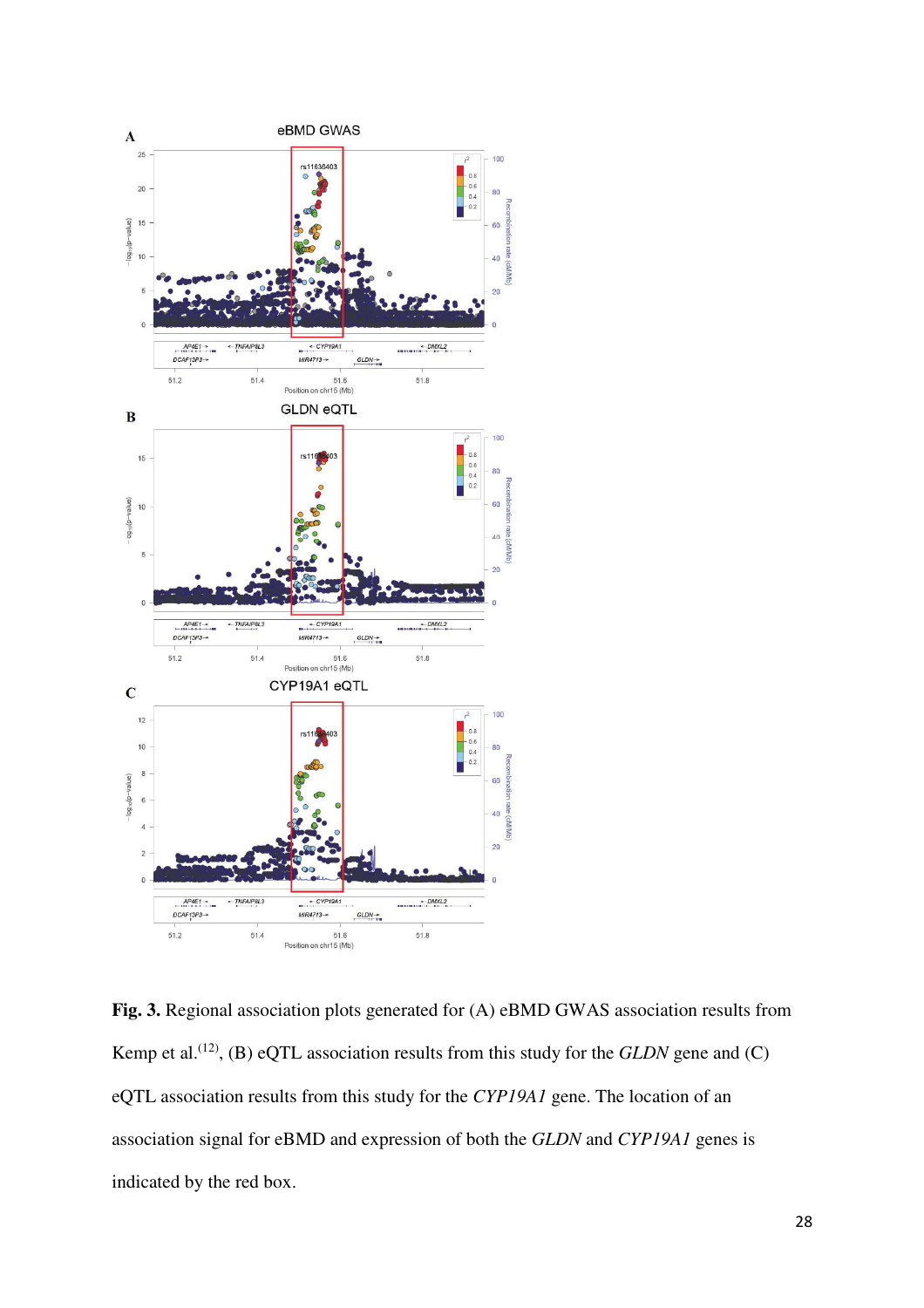

**Fig. 3.** Regional association plots generated for (A) eBMD GWAS association results from Kemp et al.<sup>(12)</sup>, (B) eQTL association results from this study for the *GLDN* gene and (C) eQTL association results from this study for the *CYP19A1* gene. The location of an association signal for eBMD and expression of both the *GLDN* and *CYP19A1* genes is indicated by the red box.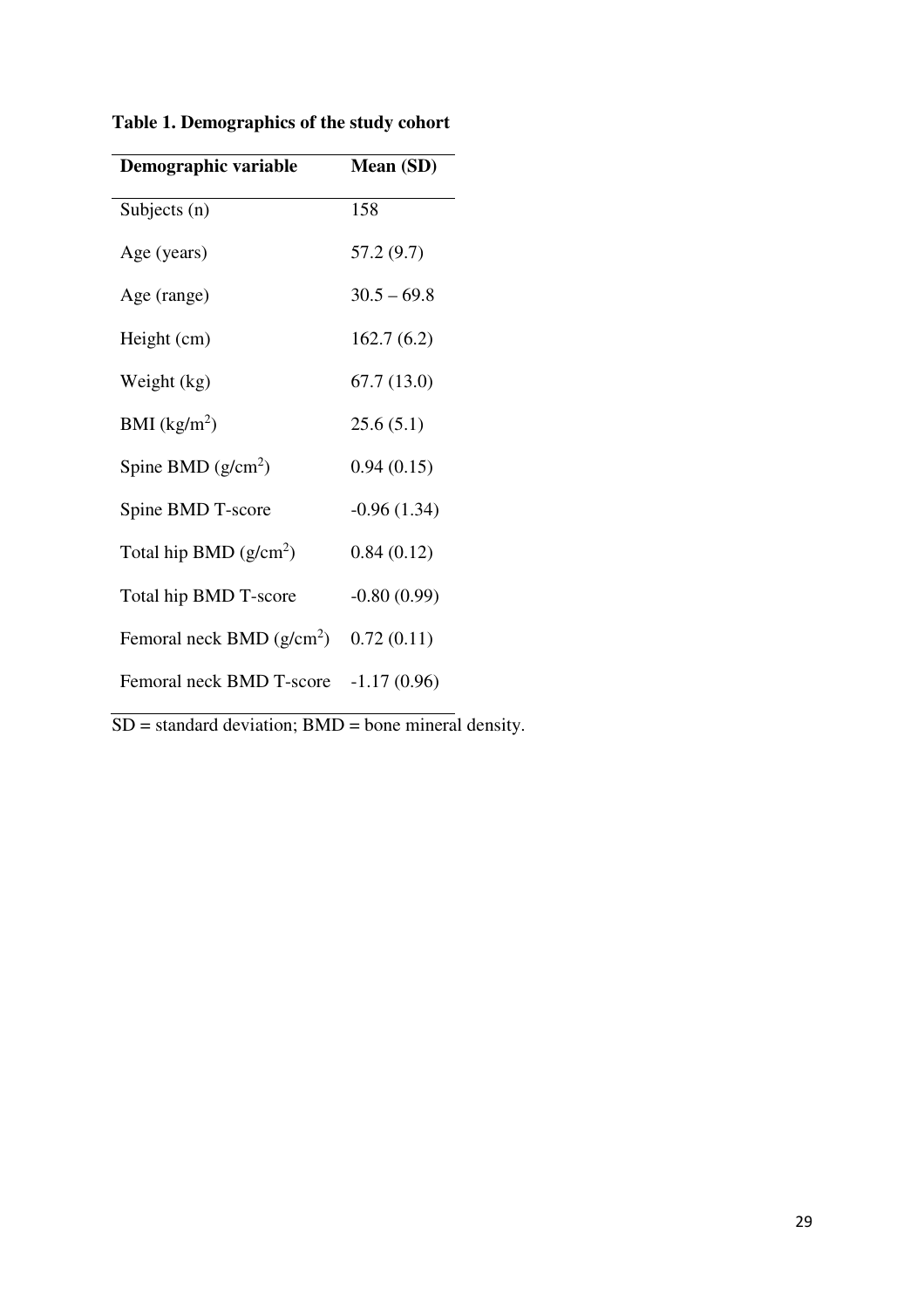| Demographic variable        | Mean (SD)     |
|-----------------------------|---------------|
| Subjects $(n)$              | 158           |
| Age (years)                 | 57.2 (9.7)    |
| Age (range)                 | $30.5 - 69.8$ |
| Height (cm)                 | 162.7(6.2)    |
| Weight (kg)                 | 67.7(13.0)    |
| BMI $(kg/m^2)$              | 25.6(5.1)     |
| Spine BMD $(g/cm^2)$        | 0.94(0.15)    |
| Spine BMD T-score           | $-0.96(1.34)$ |
| Total hip BMD $(g/cm^2)$    | 0.84(0.12)    |
| Total hip BMD T-score       | $-0.80(0.99)$ |
| Femoral neck BMD $(g/cm^2)$ | 0.72(0.11)    |
| Femoral neck BMD T-score    | $-1.17(0.96)$ |

**Table 1. Demographics of the study cohort** 

 $SD = standard deviation$ ;  $BMD = bone mineral density$ .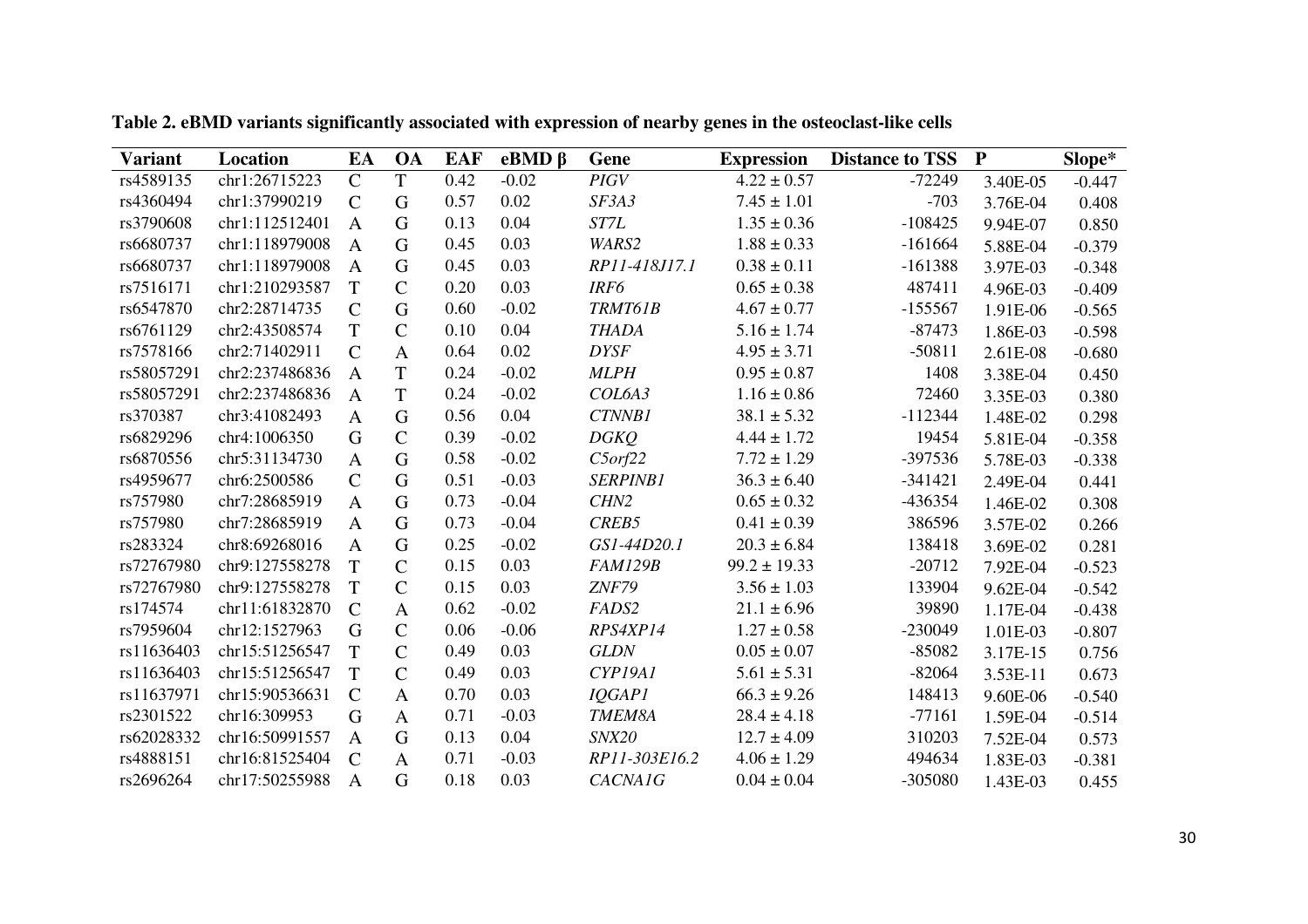| <b>Variant</b> | Location       | EA             | <b>OA</b>    | <b>EAF</b> | $eBMD \beta$ | Gene             | <b>Expression</b> | <b>Distance to TSS</b> | $\mathbf P$ | Slope*   |
|----------------|----------------|----------------|--------------|------------|--------------|------------------|-------------------|------------------------|-------------|----------|
| rs4589135      | chr1:26715223  | $\mathsf{C}$   | T            | 0.42       | $-0.02$      | <b>PIGV</b>      | $4.22 \pm 0.57$   | $-72249$               | 3.40E-05    | $-0.447$ |
| rs4360494      | chr1:37990219  | $\mathsf{C}$   | G            | 0.57       | 0.02         | SF3A3            | $7.45 \pm 1.01$   | $-703$                 | 3.76E-04    | 0.408    |
| rs3790608      | chr1:112512401 | $\mathbf{A}$   | G            | 0.13       | 0.04         | ST7L             | $1.35 \pm 0.36$   | $-108425$              | 9.94E-07    | 0.850    |
| rs6680737      | chr1:118979008 | $\mathbf{A}$   | G            | 0.45       | 0.03         | WARS2            | $1.88 \pm 0.33$   | $-161664$              | 5.88E-04    | $-0.379$ |
| rs6680737      | chr1:118979008 | $\mathbf{A}$   | G            | 0.45       | 0.03         | RP11-418J17.1    | $0.38 \pm 0.11$   | $-161388$              | 3.97E-03    | $-0.348$ |
| rs7516171      | chr1:210293587 | T              | $\mathsf{C}$ | 0.20       | 0.03         | IRF6             | $0.65 \pm 0.38$   | 487411                 | 4.96E-03    | $-0.409$ |
| rs6547870      | chr2:28714735  | $\mathsf{C}$   | G            | 0.60       | $-0.02$      | TRMT61B          | $4.67 \pm 0.77$   | $-155567$              | 1.91E-06    | $-0.565$ |
| rs6761129      | chr2:43508574  | T              | $\mathsf{C}$ | 0.10       | 0.04         | <b>THADA</b>     | $5.16 \pm 1.74$   | $-87473$               | 1.86E-03    | $-0.598$ |
| rs7578166      | chr2:71402911  | $\mathsf{C}$   | $\mathbf{A}$ | 0.64       | 0.02         | <b>DYSF</b>      | $4.95 \pm 3.71$   | $-50811$               | 2.61E-08    | $-0.680$ |
| rs58057291     | chr2:237486836 | A              | T            | 0.24       | $-0.02$      | <b>MLPH</b>      | $0.95 \pm 0.87$   | 1408                   | 3.38E-04    | 0.450    |
| rs58057291     | chr2:237486836 | A              | T            | 0.24       | $-0.02$      | COL6A3           | $1.16 \pm 0.86$   | 72460                  | 3.35E-03    | 0.380    |
| rs370387       | chr3:41082493  | $\mathbf{A}$   | G            | 0.56       | 0.04         | <b>CTNNB1</b>    | $38.1 \pm 5.32$   | $-112344$              | 1.48E-02    | 0.298    |
| rs6829296      | chr4:1006350   | G              | $\mathsf{C}$ | 0.39       | $-0.02$      | <b>DGKQ</b>      | $4.44 \pm 1.72$   | 19454                  | 5.81E-04    | $-0.358$ |
| rs6870556      | chr5:31134730  | $\mathbf{A}$   | G            | 0.58       | $-0.02$      | $C5$ orf $22$    | $7.72 \pm 1.29$   | -397536                | 5.78E-03    | $-0.338$ |
| rs4959677      | chr6:2500586   | $\mathsf{C}$   | G            | 0.51       | $-0.03$      | <b>SERPINB1</b>  | $36.3 \pm 6.40$   | $-341421$              | 2.49E-04    | 0.441    |
| rs757980       | chr7:28685919  | $\mathbf{A}$   | G            | 0.73       | $-0.04$      | CHN <sub>2</sub> | $0.65 \pm 0.32$   | -436354                | 1.46E-02    | 0.308    |
| rs757980       | chr7:28685919  | $\mathbf{A}$   | G            | 0.73       | $-0.04$      | CREB5            | $0.41 \pm 0.39$   | 386596                 | 3.57E-02    | 0.266    |
| rs283324       | chr8:69268016  | $\mathbf{A}$   | G            | 0.25       | $-0.02$      | GS1-44D20.1      | $20.3 \pm 6.84$   | 138418                 | 3.69E-02    | 0.281    |
| rs72767980     | chr9:127558278 | T              | $\mathsf{C}$ | 0.15       | 0.03         | <b>FAM129B</b>   | $99.2 \pm 19.33$  | $-20712$               | 7.92E-04    | $-0.523$ |
| rs72767980     | chr9:127558278 | T              | $\mathsf{C}$ | 0.15       | 0.03         | <b>ZNF79</b>     | $3.56 \pm 1.03$   | 133904                 | 9.62E-04    | $-0.542$ |
| rs174574       | chr11:61832870 | $\mathcal{C}$  | $\mathbf{A}$ | 0.62       | $-0.02$      | FADS2            | $21.1 \pm 6.96$   | 39890                  | 1.17E-04    | $-0.438$ |
| rs7959604      | chr12:1527963  | G              | $\mathsf{C}$ | 0.06       | $-0.06$      | RPS4XP14         | $1.27 \pm 0.58$   | $-230049$              | 1.01E-03    | $-0.807$ |
| rs11636403     | chr15:51256547 | T              | $\mathsf{C}$ | 0.49       | 0.03         | <b>GLDN</b>      | $0.05 \pm 0.07$   | $-85082$               | 3.17E-15    | 0.756    |
| rs11636403     | chr15:51256547 | T              | $\mathsf{C}$ | 0.49       | 0.03         | CYP19A1          | $5.61 \pm 5.31$   | $-82064$               | 3.53E-11    | 0.673    |
| rs11637971     | chr15:90536631 | $\mathcal{C}$  | $\mathbf{A}$ | 0.70       | 0.03         | <b>IQGAP1</b>    | $66.3 \pm 9.26$   | 148413                 | 9.60E-06    | $-0.540$ |
| rs2301522      | chr16:309953   | G              | $\mathbf{A}$ | 0.71       | $-0.03$      | TMEM8A           | $28.4 \pm 4.18$   | $-77161$               | 1.59E-04    | $-0.514$ |
| rs62028332     | chr16:50991557 | $\mathbf{A}$   | G            | 0.13       | 0.04         | SNX20            | $12.7 \pm 4.09$   | 310203                 | 7.52E-04    | 0.573    |
| rs4888151      | chr16:81525404 | $\mathsf{C}$   | $\mathbf{A}$ | 0.71       | $-0.03$      | RP11-303E16.2    | $4.06 \pm 1.29$   | 494634                 | 1.83E-03    | $-0.381$ |
| rs2696264      | chr17:50255988 | $\overline{A}$ | G            | 0.18       | 0.03         | <b>CACNA1G</b>   | $0.04 \pm 0.04$   | -305080                | 1.43E-03    | 0.455    |

**Table 2. eBMD variants significantly associated with expression of nearby genes in the osteoclast-like cells**